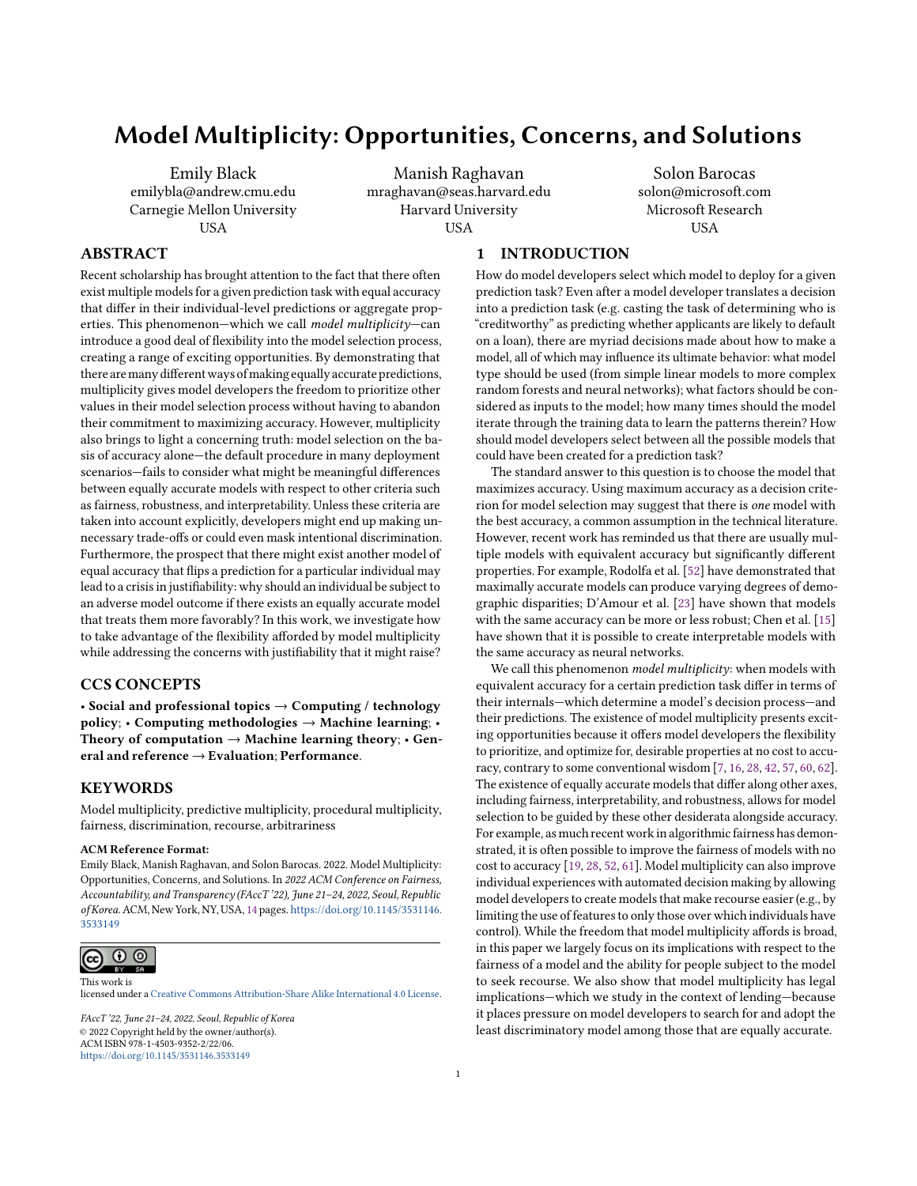# Model Multiplicity: Opportunities, Concerns, and Solutions

Emily Black emilybla@andrew.cmu.edu Carnegie Mellon University **USA** 

Manish Raghavan mraghavan@seas.harvard.edu Harvard University USA

Solon Barocas solon@microsoft.com Microsoft Research **USA** 

# ABSTRACT

Recent scholarship has brought attention to the fact that there often exist multiple models for a given prediction task with equal accuracy that differ in their individual-level predictions or aggregate properties. This phenomenon—which we call *model multiplicity*—can introduce a good deal of flexibility into the model selection process, creating a range of exciting opportunities. By demonstrating that there aremany differentways ofmaking equally accurate predictions, multiplicity gives model developers the freedom to prioritize other values in their model selection process without having to abandon their commitment to maximizing accuracy. However, multiplicity also brings to light a concerning truth: model selection on the basis of accuracy alone—the default procedure in many deployment scenarios—fails to consider what might be meaningful differences between equally accurate models with respect to other criteria such as fairness, robustness, and interpretability. Unless these criteria are taken into account explicitly, developers might end up making unnecessary trade-offs or could even mask intentional discrimination. Furthermore, the prospect that there might exist another model of equal accuracy that flips a prediction for a particular individual may lead to a crisis in justifiability: why should an individual be subject to an adverse model outcome if there exists an equally accurate model that treats them more favorably? In this work, we investigate how to take advantage of the flexibility afforded by model multiplicity while addressing the concerns with justifiability that it might raise?

### CCS CONCEPTS

• Social and professional topics  $\rightarrow$  Computing / technology policy; • Computing methodologies  $\rightarrow$  Machine learning; • Theory of computation  $\rightarrow$  Machine learning theory;  $\cdot$  General and reference → Evaluation; Performance.

### **KEYWORDS**

Model multiplicity, predictive multiplicity, procedural multiplicity, fairness, discrimination, recourse, arbitrariness

#### ACM Reference Format:

Emily Black, Manish Raghavan, and Solon Barocas. 2022. Model Multiplicity: Opportunities, Concerns, and Solutions. In 2022 ACM Conference on Fairness, Accountability, and Transparency (FAccT'22), June 21-24, 2022, Seoul, Republic of Korea.ACM, New York, NY, USA, [14](#page-13-0) pages. [https://doi.org/10.1145/3531146.](https://doi.org/10.1145/3531146.3533149) [3533149](https://doi.org/10.1145/3531146.3533149)



licensed under a [Creative Commons Attribution-Share Alike International 4.0 License.](https://creativecommons.org/licenses/by-sa/4.0/)

FAccT '22, June 21–24, 2022, Seoul, Republic of Korea © 2022 Copyright held by the owner/author(s). ACM ISBN 978-1-4503-9352-2/22/06. <https://doi.org/10.1145/3531146.3533149>

# 1 INTRODUCTION

How do model developers select which model to deploy for a given prediction task? Even after a model developer translates a decision into a prediction task (e.g. casting the task of determining who is "creditworthy" as predicting whether applicants are likely to default on a loan), there are myriad decisions made about how to make a model, all of which may influence its ultimate behavior: what model type should be used (from simple linear models to more complex random forests and neural networks); what factors should be considered as inputs to the model; how many times should the model iterate through the training data to learn the patterns therein? How should model developers select between all the possible models that could have been created for a prediction task?

The standard answer to this question is to choose the model that maximizes accuracy. Using maximum accuracy as a decision criterion for model selection may suggest that there is one model with the best accuracy, a common assumption in the technical literature. However, recent work has reminded us that there are usually multiple models with equivalent accuracy but significantly different properties. For example, Rodolfa et al. [\[52\]](#page-10-0) have demonstrated that maximally accurate models can produce varying degrees of demographic disparities; D'Amour et al. [\[23\]](#page-10-1) have shown that models with the same accuracy can be more or less robust; Chen et al. [\[15\]](#page-9-0) have shown that it is possible to create interpretable models with the same accuracy as neural networks.

We call this phenomenon model multiplicity: when models with equivalent accuracy for a certain prediction task differ in terms of their internals—which determine a model's decision process—and their predictions. The existence of model multiplicity presents exciting opportunities because it offers model developers the flexibility to prioritize, and optimize for, desirable properties at no cost to accuracy, contrary to some conventional wisdom [\[7,](#page-9-1) [16,](#page-9-2) [28,](#page-10-2) [42,](#page-10-3) [57,](#page-10-4) [60,](#page-10-5) [62\]](#page-10-6). The existence of equally accurate models that differ along other axes, including fairness, interpretability, and robustness, allows for model selection to be guided by these other desiderata alongside accuracy. For example, as much recent work in algorithmic fairness has demonstrated, it is often possible to improve the fairness of models with no cost to accuracy [\[19,](#page-9-3) [28,](#page-10-2) [52,](#page-10-0) [61\]](#page-10-7). Model multiplicity can also improve individual experiences with automated decision making by allowing model developers to create models that make recourse easier (e.g., by limiting the use of features to only those over which individuals have control). While the freedom that model multiplicity affords is broad, in this paper we largely focus on its implications with respect to the fairness of a model and the ability for people subject to the model to seek recourse. We also show that model multiplicity has legal implications—which we study in the context of lending—because it places pressure on model developers to search for and adopt the least discriminatory model among those that are equally accurate.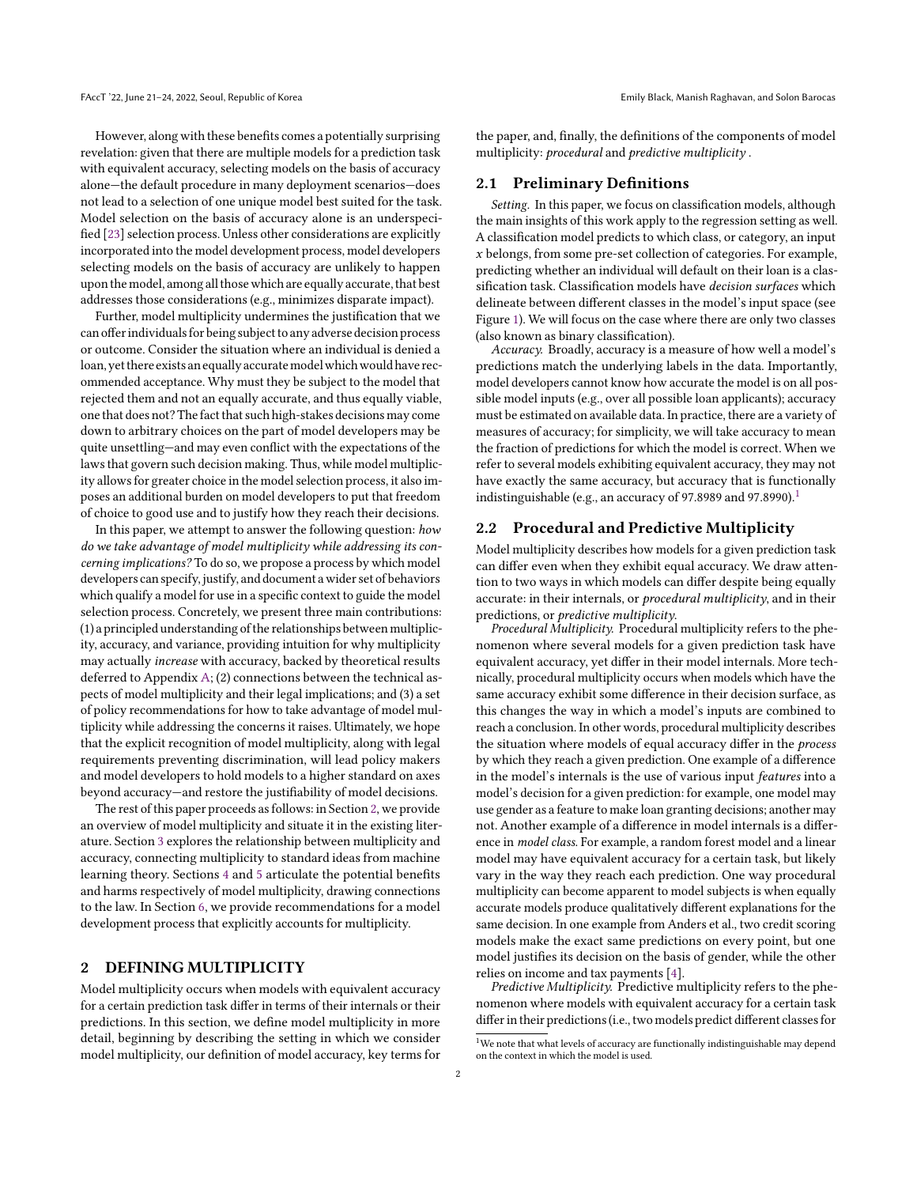However, along with these benefits comes a potentially surprising revelation: given that there are multiple models for a prediction task with equivalent accuracy, selecting models on the basis of accuracy alone—the default procedure in many deployment scenarios—does not lead to a selection of one unique model best suited for the task. Model selection on the basis of accuracy alone is an underspecified [\[23\]](#page-10-1) selection process. Unless other considerations are explicitly incorporated into the model development process, model developers selecting models on the basis of accuracy are unlikely to happen upon the model, among all those which are equally accurate, that best addresses those considerations (e.g., minimizes disparate impact).

Further, model multiplicity undermines the justification that we can offerindividuals for being subject to any adverse decision process or outcome. Consider the situation where an individual is denied a loan, yet there exists an equally accurate model which would have recommended acceptance. Why must they be subject to the model that rejected them and not an equally accurate, and thus equally viable, one that does not? The fact that such high-stakes decisions may come down to arbitrary choices on the part of model developers may be quite unsettling—and may even conflict with the expectations of the laws that govern such decision making. Thus, while model multiplicity allows for greater choice in the model selection process, it also imposes an additional burden on model developers to put that freedom of choice to good use and to justify how they reach their decisions.

In this paper, we attempt to answer the following question: how do we take advantage of model multiplicity while addressing its concerning implications? To do so, we propose a process by which model developers can specify, justify, and document a wider set of behaviors which qualify a model for use in a specific context to guide the model selection process. Concretely, we present three main contributions: (1) a principled understanding of the relationships between multiplicity, accuracy, and variance, providing intuition for why multiplicity may actually increase with accuracy, backed by theoretical results deferred to Appendix [A;](#page-10-8) (2) connections between the technical aspects of model multiplicity and their legal implications; and (3) a set of policy recommendations for how to take advantage of model multiplicity while addressing the concerns it raises. Ultimately, we hope that the explicit recognition of model multiplicity, along with legal requirements preventing discrimination, will lead policy makers and model developers to hold models to a higher standard on axes beyond accuracy—and restore the justifiability of model decisions.

The rest of this paper proceeds as follows: in Section [2,](#page-1-0) we provide an overview of model multiplicity and situate it in the existing literature. Section [3](#page-3-0) explores the relationship between multiplicity and accuracy, connecting multiplicity to standard ideas from machine learning theory. Sections [4](#page-4-0) and [5](#page-5-0) articulate the potential benefits and harms respectively of model multiplicity, drawing connections to the law. In Section [6,](#page-7-0) we provide recommendations for a model development process that explicitly accounts for multiplicity.

### <span id="page-1-0"></span>2 DEFINING MULTIPLICITY

Model multiplicity occurs when models with equivalent accuracy for a certain prediction task differ in terms of their internals or their predictions. In this section, we define model multiplicity in more detail, beginning by describing the setting in which we consider model multiplicity, our definition of model accuracy, key terms for the paper, and, finally, the definitions of the components of model multiplicity: procedural and predictive multiplicity .

# 2.1 Preliminary Definitions

Setting. In this paper, we focus on classification models, although the main insights of this work apply to the regression setting as well. A classification model predicts to which class, or category, an input  $x$  belongs, from some pre-set collection of categories. For example, predicting whether an individual will default on their loan is a classification task. Classification models have decision surfaces which delineate between different classes in the model's input space (see Figure [1\)](#page-2-0). We will focus on the case where there are only two classes (also known as binary classification).

Accuracy. Broadly, accuracy is a measure of how well a model's predictions match the underlying labels in the data. Importantly, model developers cannot know how accurate the model is on all possible model inputs (e.g., over all possible loan applicants); accuracy must be estimated on available data. In practice, there are a variety of measures of accuracy; for simplicity, we will take accuracy to mean the fraction of predictions for which the model is correct. When we refer to several models exhibiting equivalent accuracy, they may not have exactly the same accuracy, but accuracy that is functionally indistinguishable (e.g., an accuracy of 97.8989 and 97.8990).<sup>[1](#page-1-1)</sup>

### 2.2 Procedural and Predictive Multiplicity

Model multiplicity describes how models for a given prediction task can differ even when they exhibit equal accuracy. We draw attention to two ways in which models can differ despite being equally accurate: in their internals, or procedural multiplicity, and in their predictions, or predictive multiplicity.

Procedural Multiplicity. Procedural multiplicity refers to the phenomenon where several models for a given prediction task have equivalent accuracy, yet differ in their model internals. More technically, procedural multiplicity occurs when models which have the same accuracy exhibit some difference in their decision surface, as this changes the way in which a model's inputs are combined to reach a conclusion. In other words, procedural multiplicity describes the situation where models of equal accuracy differ in the process by which they reach a given prediction. One example of a difference in the model's internals is the use of various input features into a model's decision for a given prediction: for example, one model may use gender as a feature to make loan granting decisions; another may not. Another example of a difference in model internals is a difference in model class. For example, a random forest model and a linear model may have equivalent accuracy for a certain task, but likely vary in the way they reach each prediction. One way procedural multiplicity can become apparent to model subjects is when equally accurate models produce qualitatively different explanations for the same decision. In one example from Anders et al., two credit scoring models make the exact same predictions on every point, but one model justifies its decision on the basis of gender, while the other relies on income and tax payments [\[4\]](#page-9-4).

Predictive Multiplicity. Predictive multiplicity refers to the phenomenon where models with equivalent accuracy for a certain task differ in their predictions(i.e., two models predict different classes for

<span id="page-1-1"></span><sup>&</sup>lt;sup>1</sup>We note that what levels of accuracy are functionally indistinguishable may depend on the context in which the model is used.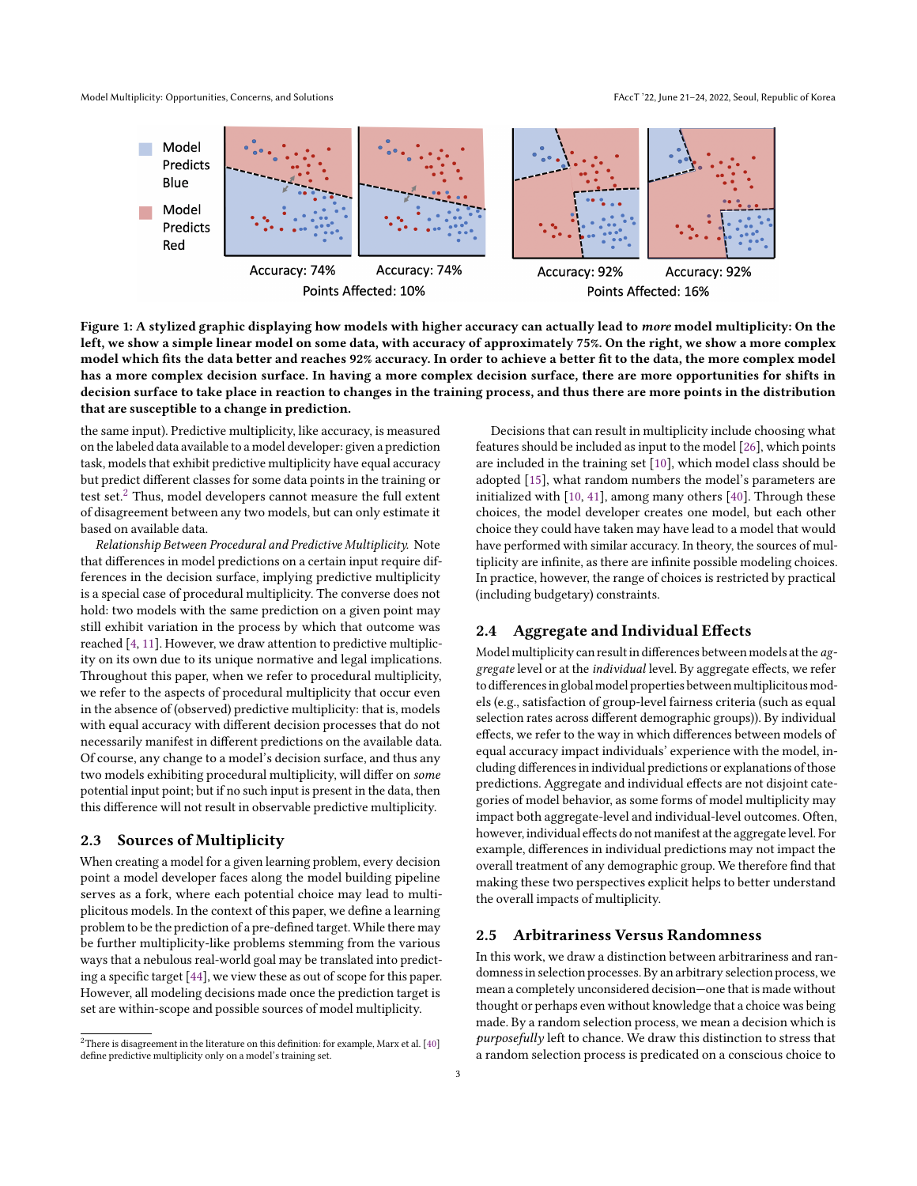<span id="page-2-0"></span>Model Multiplicity: Opportunities, Concerns, and Solutions FAccT '22, June 21-24, 2022, Seoul, Republic of Korea



Figure 1: A stylized graphic displaying how models with higher accuracy can actually lead to more model multiplicity: On the left, we show a simple linear model on some data, with accuracy of approximately 75%. On the right, we show a more complex model which fits the data better and reaches 92% accuracy. In order to achieve a better fit to the data, the more complex model has a more complex decision surface. In having a more complex decision surface, there are more opportunities for shifts in decision surface to take place in reaction to changes in the training process, and thus there are more points in the distribution that are susceptible to a change in prediction.

the same input). Predictive multiplicity, like accuracy, is measured on the labeled data available to a model developer: given a prediction task, models that exhibit predictive multiplicity have equal accuracy but predict different classes for some data points in the training or test set.<sup>[2](#page-2-1)</sup> Thus, model developers cannot measure the full extent of disagreement between any two models, but can only estimate it based on available data.

Relationship Between Procedural and Predictive Multiplicity. Note that differences in model predictions on a certain input require differences in the decision surface, implying predictive multiplicity is a special case of procedural multiplicity. The converse does not hold: two models with the same prediction on a given point may still exhibit variation in the process by which that outcome was reached [\[4,](#page-9-4) [11\]](#page-9-5). However, we draw attention to predictive multiplicity on its own due to its unique normative and legal implications. Throughout this paper, when we refer to procedural multiplicity, we refer to the aspects of procedural multiplicity that occur even in the absence of (observed) predictive multiplicity: that is, models with equal accuracy with different decision processes that do not necessarily manifest in different predictions on the available data. Of course, any change to a model's decision surface, and thus any two models exhibiting procedural multiplicity, will differ on some potential input point; but if no such input is present in the data, then this difference will not result in observable predictive multiplicity.

### 2.3 Sources of Multiplicity

When creating a model for a given learning problem, every decision point a model developer faces along the model building pipeline serves as a fork, where each potential choice may lead to multiplicitous models. In the context of this paper, we define a learning problem to be the prediction of a pre-defined target. While there may be further multiplicity-like problems stemming from the various ways that a nebulous real-world goal may be translated into predicting a specific target [\[44\]](#page-10-9), we view these as out of scope for this paper. However, all modeling decisions made once the prediction target is set are within-scope and possible sources of model multiplicity.

Decisions that can result in multiplicity include choosing what features should be included as input to the model [\[26\]](#page-10-11), which points are included in the training set [\[10\]](#page-9-6), which model class should be adopted [\[15\]](#page-9-0), what random numbers the model's parameters are initialized with [\[10,](#page-9-6) [41\]](#page-10-12), among many others [\[40\]](#page-10-10). Through these choices, the model developer creates one model, but each other choice they could have taken may have lead to a model that would have performed with similar accuracy. In theory, the sources of multiplicity are infinite, as there are infinite possible modeling choices. In practice, however, the range of choices is restricted by practical (including budgetary) constraints.

# 2.4 Aggregate and Individual Effects

Model multiplicity can result in differences between models at the aggregate level or at the individual level. By aggregate effects, we refer to differences in global model properties between multiplicitous models (e.g., satisfaction of group-level fairness criteria (such as equal selection rates across different demographic groups)). By individual effects, we refer to the way in which differences between models of equal accuracy impact individuals' experience with the model, including differences in individual predictions or explanations of those predictions. Aggregate and individual effects are not disjoint categories of model behavior, as some forms of model multiplicity may impact both aggregate-level and individual-level outcomes. Often, however, individual effects do not manifest at the aggregate level. For example, differences in individual predictions may not impact the overall treatment of any demographic group. We therefore find that making these two perspectives explicit helps to better understand the overall impacts of multiplicity.

### 2.5 Arbitrariness Versus Randomness

In this work, we draw a distinction between arbitrariness and randomness in selection processes. By an arbitrary selection process, we mean a completely unconsidered decision—one that is made without thought or perhaps even without knowledge that a choice was being made. By a random selection process, we mean a decision which is purposefully left to chance. We draw this distinction to stress that a random selection process is predicated on a conscious choice to

<span id="page-2-1"></span> $2$ There is disagreement in the literature on this definition: for example, Marx et al. [\[40\]](#page-10-10) define predictive multiplicity only on a model's training set.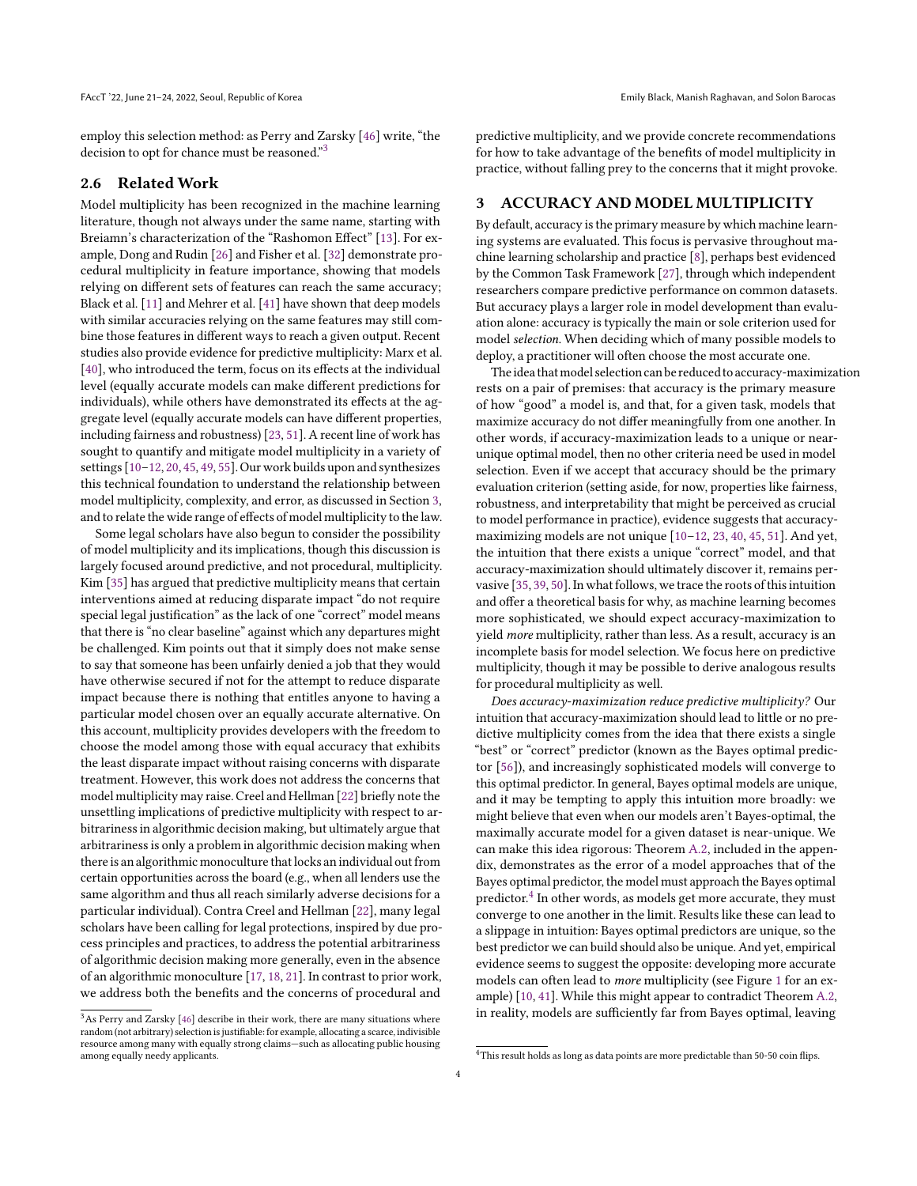employ this selection method: as Perry and Zarsky [\[46\]](#page-10-13) write, "the decision to opt for chance must be reasoned."<sup>[3](#page-3-1)</sup>

# 2.6 Related Work

Model multiplicity has been recognized in the machine learning literature, though not always under the same name, starting with Breiamn's characterization of the "Rashomon Effect" [\[13\]](#page-9-7). For example, Dong and Rudin [\[26\]](#page-10-11) and Fisher et al. [\[32\]](#page-10-14) demonstrate procedural multiplicity in feature importance, showing that models relying on different sets of features can reach the same accuracy; Black et al. [\[11\]](#page-9-5) and Mehrer et al. [\[41\]](#page-10-12) have shown that deep models with similar accuracies relying on the same features may still combine those features in different ways to reach a given output. Recent studies also provide evidence for predictive multiplicity: Marx et al. [\[40\]](#page-10-10), who introduced the term, focus on its effects at the individual level (equally accurate models can make different predictions for individuals), while others have demonstrated its effects at the aggregate level (equally accurate models can have different properties, including fairness and robustness) [\[23,](#page-10-1) [51\]](#page-10-15). A recent line of work has sought to quantify and mitigate model multiplicity in a variety of settings [\[10](#page-9-6)[–12,](#page-9-8) [20,](#page-10-16) [45,](#page-10-17) [49,](#page-10-18) [55\]](#page-10-19). Our work builds upon and synthesizes this technical foundation to understand the relationship between model multiplicity, complexity, and error, as discussed in Section [3,](#page-3-0) and to relate the wide range of effects of model multiplicity to the law.

Some legal scholars have also begun to consider the possibility of model multiplicity and its implications, though this discussion is largely focused around predictive, and not procedural, multiplicity. Kim [\[35\]](#page-10-20) has argued that predictive multiplicity means that certain interventions aimed at reducing disparate impact "do not require special legal justification" as the lack of one "correct" model means that there is "no clear baseline" against which any departures might be challenged. Kim points out that it simply does not make sense to say that someone has been unfairly denied a job that they would have otherwise secured if not for the attempt to reduce disparate impact because there is nothing that entitles anyone to having a particular model chosen over an equally accurate alternative. On this account, multiplicity provides developers with the freedom to choose the model among those with equal accuracy that exhibits the least disparate impact without raising concerns with disparate treatment. However, this work does not address the concerns that model multiplicity may raise. Creel and Hellman [\[22\]](#page-10-21) briefly note the unsettling implications of predictive multiplicity with respect to arbitrariness in algorithmic decision making, but ultimately argue that arbitrariness is only a problem in algorithmic decision making when there is an algorithmic monoculture that locks an individual out from certain opportunities across the board (e.g., when all lenders use the same algorithm and thus all reach similarly adverse decisions for a particular individual). Contra Creel and Hellman [\[22\]](#page-10-21), many legal scholars have been calling for legal protections, inspired by due process principles and practices, to address the potential arbitrariness of algorithmic decision making more generally, even in the absence of an algorithmic monoculture [\[17,](#page-9-9) [18,](#page-9-10) [21\]](#page-10-22). In contrast to prior work, we address both the benefits and the concerns of procedural and

predictive multiplicity, and we provide concrete recommendations for how to take advantage of the benefits of model multiplicity in practice, without falling prey to the concerns that it might provoke.

## <span id="page-3-0"></span>3 ACCURACY AND MODEL MULTIPLICITY

By default, accuracy is the primary measure by which machine learning systems are evaluated. This focus is pervasive throughout machine learning scholarship and practice [\[8\]](#page-9-11), perhaps best evidenced by the Common Task Framework [\[27\]](#page-10-23), through which independent researchers compare predictive performance on common datasets. But accuracy plays a larger role in model development than evaluation alone: accuracy is typically the main or sole criterion used for model selection. When deciding which of many possible models to deploy, a practitioner will often choose the most accurate one.

The idea that model selection can be reduced to accuracy-maximization rests on a pair of premises: that accuracy is the primary measure of how "good" a model is, and that, for a given task, models that maximize accuracy do not differ meaningfully from one another. In other words, if accuracy-maximization leads to a unique or nearunique optimal model, then no other criteria need be used in model selection. Even if we accept that accuracy should be the primary evaluation criterion (setting aside, for now, properties like fairness, robustness, and interpretability that might be perceived as crucial to model performance in practice), evidence suggests that accuracymaximizing models are not unique [\[10–](#page-9-6)[12,](#page-9-8) [23,](#page-10-1) [40,](#page-10-10) [45,](#page-10-17) [51\]](#page-10-15). And yet, the intuition that there exists a unique "correct" model, and that accuracy-maximization should ultimately discover it, remains pervasive [\[35,](#page-10-20) [39,](#page-10-24) [50\]](#page-10-25). In what follows, we trace the roots of this intuition and offer a theoretical basis for why, as machine learning becomes more sophisticated, we should expect accuracy-maximization to yield more multiplicity, rather than less. As a result, accuracy is an incomplete basis for model selection. We focus here on predictive multiplicity, though it may be possible to derive analogous results for procedural multiplicity as well.

Does accuracy-maximization reduce predictive multiplicity? Our intuition that accuracy-maximization should lead to little or no predictive multiplicity comes from the idea that there exists a single "best" or "correct" predictor (known as the Bayes optimal predictor [\[56\]](#page-10-26)), and increasingly sophisticated models will converge to this optimal predictor. In general, Bayes optimal models are unique, and it may be tempting to apply this intuition more broadly: we might believe that even when our models aren't Bayes-optimal, the maximally accurate model for a given dataset is near-unique. We can make this idea rigorous: Theorem [A.2,](#page-11-0) included in the appendix, demonstrates as the error of a model approaches that of the Bayes optimal predictor, the model must approach the Bayes optimal predictor.<sup>[4](#page-3-2)</sup> In other words, as models get more accurate, they must converge to one another in the limit. Results like these can lead to a slippage in intuition: Bayes optimal predictors are unique, so the best predictor we can build should also be unique. And yet, empirical evidence seems to suggest the opposite: developing more accurate models can often lead to more multiplicity (see Figure [1](#page-2-0) for an example) [\[10,](#page-9-6) [41\]](#page-10-12). While this might appear to contradict Theorem [A.2,](#page-11-0) in reality, models are sufficiently far from Bayes optimal, leaving

<span id="page-3-1"></span> ${}^{3}\mathrm{As}$  Perry and Zarsky [\[46\]](#page-10-13) describe in their work, there are many situations where random (not arbitrary) selection is justifiable: for example, allocating a scarce, indivisible resource among many with equally strong claims—such as allocating public housing among equally needy applicants.

<span id="page-3-2"></span><sup>&</sup>lt;sup>4</sup>This result holds as long as data points are more predictable than 50-50 coin flips.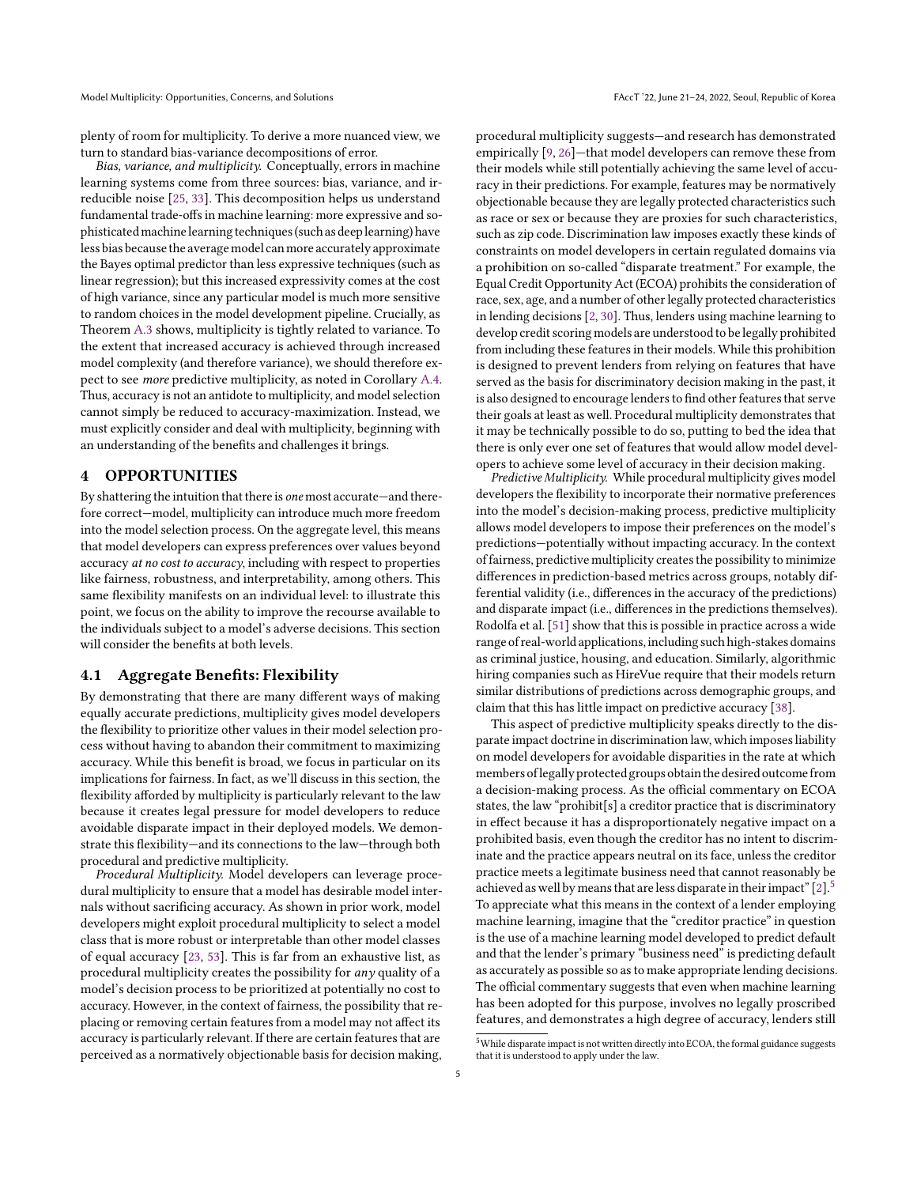plenty of room for multiplicity. To derive a more nuanced view, we turn to standard bias-variance decompositions of error.

Bias, variance, and multiplicity. Conceptually, errors in machine learning systems come from three sources: bias, variance, and irreducible noise [\[25,](#page-10-27) [33\]](#page-10-28). This decomposition helps us understand fundamental trade-offs in machine learning: more expressive and sophisticatedmachinelearning techniques(such as deeplearning) have less bias because the averagemodel canmore accurately approximate the Bayes optimal predictor than less expressive techniques (such as linear regression); but this increased expressivity comes at the cost of high variance, since any particular model is much more sensitive to random choices in the model development pipeline. Crucially, as Theorem [A.3](#page-12-0) shows, multiplicity is tightly related to variance. To the extent that increased accuracy is achieved through increased model complexity (and therefore variance), we should therefore expect to see more predictive multiplicity, as noted in Corollary [A.4.](#page-12-1) Thus, accuracy is not an antidote to multiplicity, and model selection cannot simply be reduced to accuracy-maximization. Instead, we must explicitly consider and deal with multiplicity, beginning with an understanding of the benefits and challenges it brings.

### <span id="page-4-0"></span>4 OPPORTUNITIES

By shattering the intuition that there is one most accurate—and therefore correct—model, multiplicity can introduce much more freedom into the model selection process. On the aggregate level, this means that model developers can express preferences over values beyond accuracy at no cost to accuracy, including with respect to properties like fairness, robustness, and interpretability, among others. This same flexibility manifests on an individual level: to illustrate this point, we focus on the ability to improve the recourse available to the individuals subject to a model's adverse decisions. This section will consider the benefits at both levels.

### 4.1 Aggregate Benefits: Flexibility

By demonstrating that there are many different ways of making equally accurate predictions, multiplicity gives model developers the flexibility to prioritize other values in their model selection process without having to abandon their commitment to maximizing accuracy. While this benefit is broad, we focus in particular on its implications for fairness. In fact, as we'll discuss in this section, the flexibility afforded by multiplicity is particularly relevant to the law because it creates legal pressure for model developers to reduce avoidable disparate impact in their deployed models. We demonstrate this flexibility—and its connections to the law—through both procedural and predictive multiplicity.

Procedural Multiplicity. Model developers can leverage procedural multiplicity to ensure that a model has desirable model internals without sacrificing accuracy. As shown in prior work, model developers might exploit procedural multiplicity to select a model class that is more robust or interpretable than other model classes of equal accuracy [\[23,](#page-10-1) [53\]](#page-10-29). This is far from an exhaustive list, as procedural multiplicity creates the possibility for any quality of a model's decision process to be prioritized at potentially no cost to accuracy. However, in the context of fairness, the possibility that replacing or removing certain features from a model may not affect its accuracy is particularly relevant. If there are certain features that are perceived as a normatively objectionable basis for decision making, procedural multiplicity suggests—and research has demonstrated empirically [\[9,](#page-9-12) [26\]](#page-10-11)—that model developers can remove these from their models while still potentially achieving the same level of accuracy in their predictions. For example, features may be normatively objectionable because they are legally protected characteristics such as race or sex or because they are proxies for such characteristics, such as zip code. Discrimination law imposes exactly these kinds of constraints on model developers in certain regulated domains via a prohibition on so-called "disparate treatment." For example, the Equal Credit Opportunity Act (ECOA) prohibits the consideration of race, sex, age, and a number of other legally protected characteristics in lending decisions [\[2,](#page-9-13) [30\]](#page-10-30). Thus, lenders using machine learning to develop credit scoring models are understood to be legally prohibited from including these features in their models. While this prohibition is designed to prevent lenders from relying on features that have served as the basis for discriminatory decision making in the past, it is also designed to encourage lenders to find other features that serve their goals at least as well. Procedural multiplicity demonstrates that it may be technically possible to do so, putting to bed the idea that there is only ever one set of features that would allow model developers to achieve some level of accuracy in their decision making.

Predictive Multiplicity. While procedural multiplicity gives model developers the flexibility to incorporate their normative preferences into the model's decision-making process, predictive multiplicity allows model developers to impose their preferences on the model's predictions—potentially without impacting accuracy. In the context of fairness, predictive multiplicity creates the possibility to minimize differences in prediction-based metrics across groups, notably differential validity (i.e., differences in the accuracy of the predictions) and disparate impact (i.e., differences in the predictions themselves). Rodolfa et al. [\[51\]](#page-10-15) show that this is possible in practice across a wide range of real-world applications,including such high-stakes domains as criminal justice, housing, and education. Similarly, algorithmic hiring companies such as HireVue require that their models return similar distributions of predictions across demographic groups, and claim that this has little impact on predictive accuracy [\[38\]](#page-10-31).

This aspect of predictive multiplicity speaks directly to the disparate impact doctrine in discrimination law, which imposes liability on model developers for avoidable disparities in the rate at which members oflegally protected groups obtain the desired outcome from a decision-making process. As the official commentary on ECOA states, the law "prohibit[s] a creditor practice that is discriminatory in effect because it has a disproportionately negative impact on a prohibited basis, even though the creditor has no intent to discriminate and the practice appears neutral on its face, unless the creditor practice meets a legitimate business need that cannot reasonably be achieved as well by means that are less disparate in their impact"  $[2]$ <sup>[5](#page-4-1)</sup> To appreciate what this means in the context of a lender employing machine learning, imagine that the "creditor practice" in question is the use of a machine learning model developed to predict default and that the lender's primary "business need" is predicting default as accurately as possible so as to make appropriate lending decisions. The official commentary suggests that even when machine learning has been adopted for this purpose, involves no legally proscribed features, and demonstrates a high degree of accuracy, lenders still

<span id="page-4-1"></span> $^5\rm{White}$  disparate impact is not written directly into ECOA, the formal guidance suggests that it is understood to apply under the law.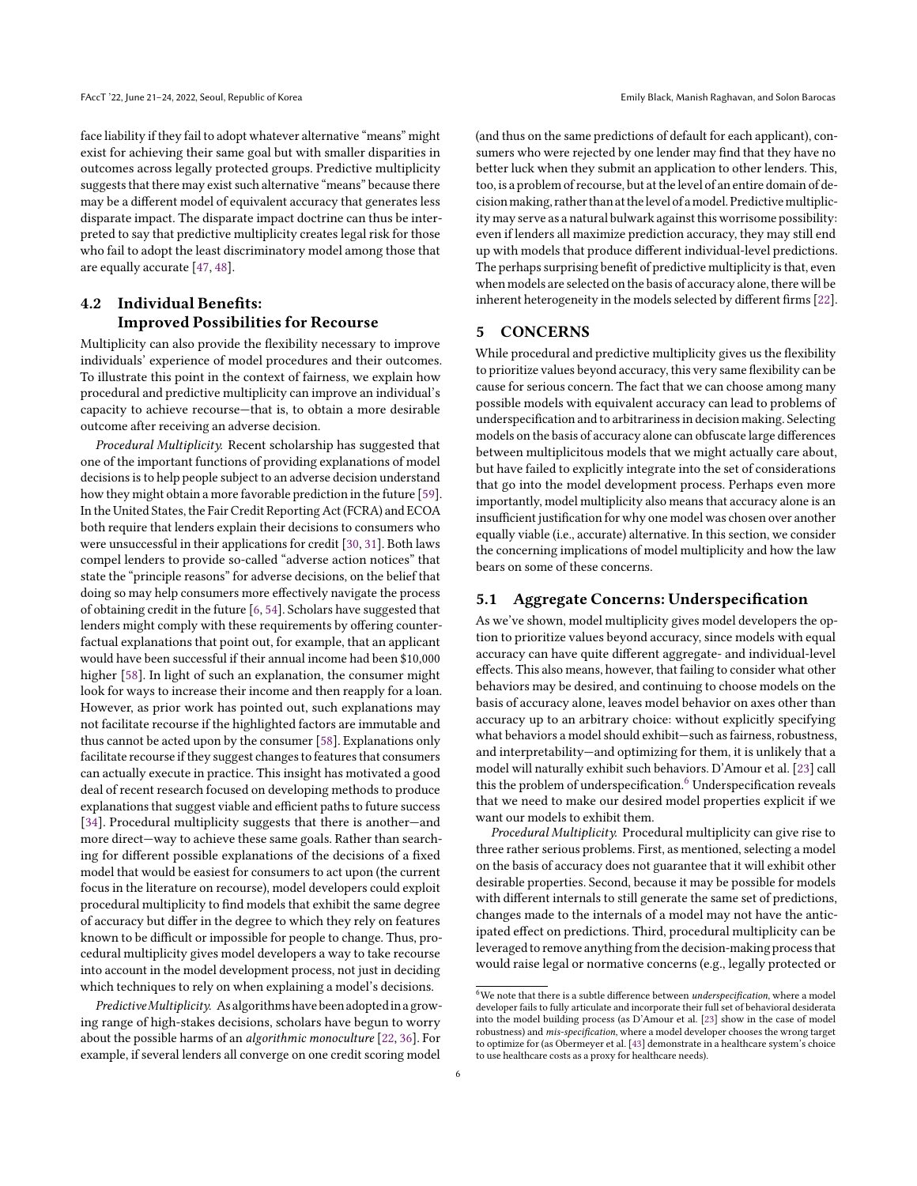face liability if they fail to adopt whatever alternative "means" might exist for achieving their same goal but with smaller disparities in outcomes across legally protected groups. Predictive multiplicity suggests that there may exist such alternative "means" because there may be a different model of equivalent accuracy that generates less disparate impact. The disparate impact doctrine can thus be interpreted to say that predictive multiplicity creates legal risk for those who fail to adopt the least discriminatory model among those that are equally accurate [\[47,](#page-10-32) [48\]](#page-10-33).

# 4.2 Individual Benefits: Improved Possibilities for Recourse

Multiplicity can also provide the flexibility necessary to improve individuals' experience of model procedures and their outcomes. To illustrate this point in the context of fairness, we explain how procedural and predictive multiplicity can improve an individual's capacity to achieve recourse—that is, to obtain a more desirable outcome after receiving an adverse decision.

Procedural Multiplicity. Recent scholarship has suggested that one of the important functions of providing explanations of model decisions is to help people subject to an adverse decision understand how they might obtain a more favorable prediction in the future [\[59\]](#page-10-34). In the United States, the Fair Credit Reporting Act (FCRA) and ECOA both require that lenders explain their decisions to consumers who were unsuccessful in their applications for credit [\[30,](#page-10-30) [31\]](#page-10-35). Both laws compel lenders to provide so-called "adverse action notices" that state the "principle reasons" for adverse decisions, on the belief that doing so may help consumers more effectively navigate the process of obtaining credit in the future [\[6,](#page-9-14) [54\]](#page-10-36). Scholars have suggested that lenders might comply with these requirements by offering counterfactual explanations that point out, for example, that an applicant would have been successful if their annual income had been \$10,000 higher [\[58\]](#page-10-37). In light of such an explanation, the consumer might look for ways to increase their income and then reapply for a loan. However, as prior work has pointed out, such explanations may not facilitate recourse if the highlighted factors are immutable and thus cannot be acted upon by the consumer [\[58\]](#page-10-37). Explanations only facilitate recourse if they suggest changes to features that consumers can actually execute in practice. This insight has motivated a good deal of recent research focused on developing methods to produce explanations that suggest viable and efficient paths to future success [\[34\]](#page-10-38). Procedural multiplicity suggests that there is another—and more direct—way to achieve these same goals. Rather than searching for different possible explanations of the decisions of a fixed model that would be easiest for consumers to act upon (the current focus in the literature on recourse), model developers could exploit procedural multiplicity to find models that exhibit the same degree of accuracy but differ in the degree to which they rely on features known to be difficult or impossible for people to change. Thus, procedural multiplicity gives model developers a way to take recourse into account in the model development process, not just in deciding which techniques to rely on when explaining a model's decisions.

Predictive Multiplicity. As algorithms have been adopted in a growing range of high-stakes decisions, scholars have begun to worry about the possible harms of an algorithmic monoculture [\[22,](#page-10-21) [36\]](#page-10-39). For example, if several lenders all converge on one credit scoring model

(and thus on the same predictions of default for each applicant), consumers who were rejected by one lender may find that they have no better luck when they submit an application to other lenders. This, too, is a problem of recourse, but at the level of an entire domain of decisionmaking, rather than at thelevel of amodel. Predictivemultiplicity may serve as a natural bulwark against this worrisome possibility: even if lenders all maximize prediction accuracy, they may still end up with models that produce different individual-level predictions. The perhaps surprising benefit of predictive multiplicity is that, even when models are selected on the basis of accuracy alone, there will be inherent heterogeneity in the models selected by different firms [\[22\]](#page-10-21).

# <span id="page-5-0"></span>5 CONCERNS

While procedural and predictive multiplicity gives us the flexibility to prioritize values beyond accuracy, this very same flexibility can be cause for serious concern. The fact that we can choose among many possible models with equivalent accuracy can lead to problems of underspecification and to arbitrariness in decision making. Selecting models on the basis of accuracy alone can obfuscate large differences between multiplicitous models that we might actually care about, but have failed to explicitly integrate into the set of considerations that go into the model development process. Perhaps even more importantly, model multiplicity also means that accuracy alone is an insufficient justification for why one model was chosen over another equally viable (i.e., accurate) alternative. In this section, we consider the concerning implications of model multiplicity and how the law bears on some of these concerns.

### <span id="page-5-2"></span>5.1 Aggregate Concerns: Underspecification

As we've shown, model multiplicity gives model developers the option to prioritize values beyond accuracy, since models with equal accuracy can have quite different aggregate- and individual-level effects. This also means, however, that failing to consider what other behaviors may be desired, and continuing to choose models on the basis of accuracy alone, leaves model behavior on axes other than accuracy up to an arbitrary choice: without explicitly specifying what behaviors a model should exhibit—such as fairness, robustness, and interpretability—and optimizing for them, it is unlikely that a model will naturally exhibit such behaviors. D'Amour et al. [\[23\]](#page-10-1) call this the problem of underspecification.<sup>[6](#page-5-1)</sup> Underspecification reveals that we need to make our desired model properties explicit if we want our models to exhibit them.

Procedural Multiplicity. Procedural multiplicity can give rise to three rather serious problems. First, as mentioned, selecting a model on the basis of accuracy does not guarantee that it will exhibit other desirable properties. Second, because it may be possible for models with different internals to still generate the same set of predictions, changes made to the internals of a model may not have the anticipated effect on predictions. Third, procedural multiplicity can be leveraged to remove anything from the decision-making process that would raise legal or normative concerns (e.g., legally protected or

<span id="page-5-1"></span> $\overline{^6\text{We}}$  note that there is a subtle difference between  $under specification,$  where a model developer fails to fully articulate and incorporate their full set of behavioral desiderata into the model building process (as D'Amour et al. [\[23\]](#page-10-1) show in the case of model robustness) and mis-specification, where a model developer chooses the wrong target to optimize for (as Obermeyer et al. [\[43\]](#page-10-40) demonstrate in a healthcare system's choice to use healthcare costs as a proxy for healthcare needs).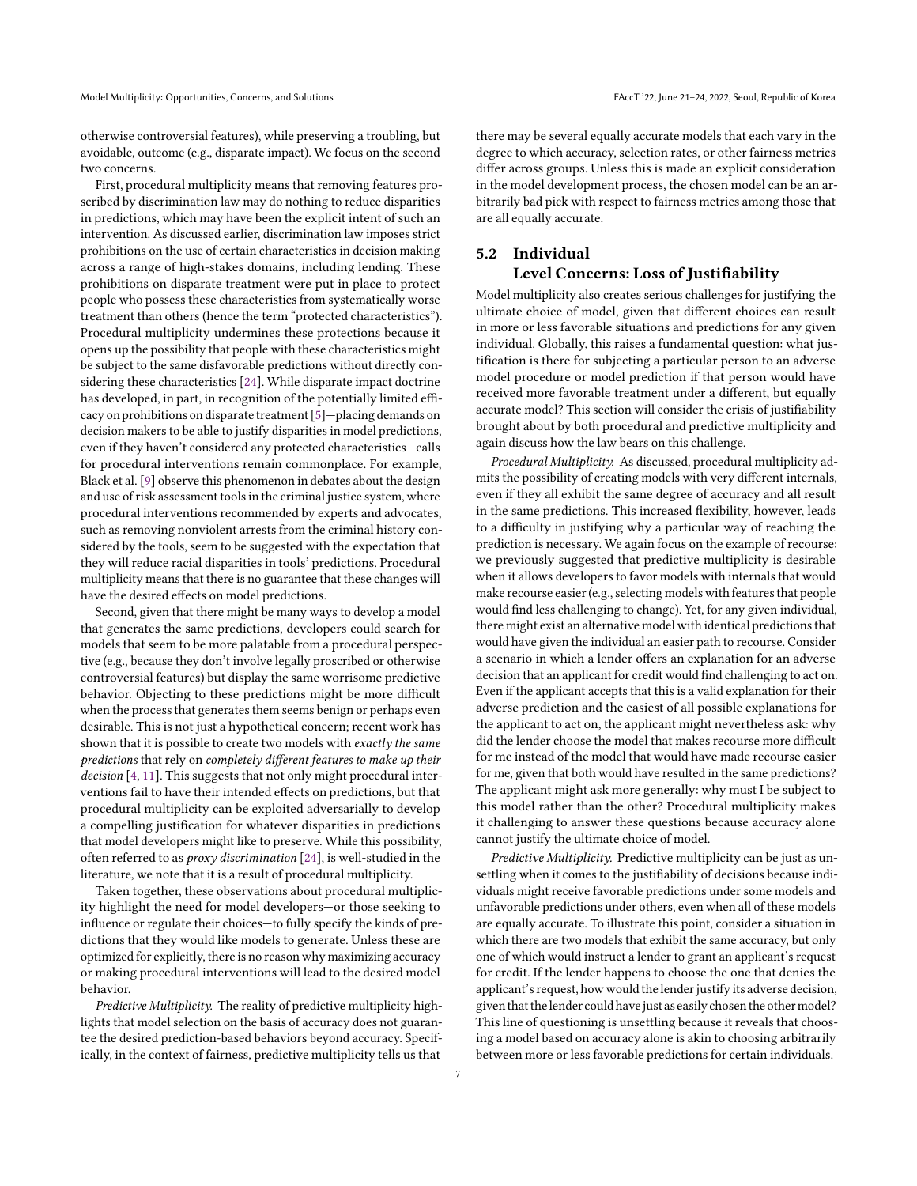otherwise controversial features), while preserving a troubling, but avoidable, outcome (e.g., disparate impact). We focus on the second two concerns.

First, procedural multiplicity means that removing features proscribed by discrimination law may do nothing to reduce disparities in predictions, which may have been the explicit intent of such an intervention. As discussed earlier, discrimination law imposes strict prohibitions on the use of certain characteristics in decision making across a range of high-stakes domains, including lending. These prohibitions on disparate treatment were put in place to protect people who possess these characteristics from systematically worse treatment than others (hence the term "protected characteristics"). Procedural multiplicity undermines these protections because it opens up the possibility that people with these characteristics might be subject to the same disfavorable predictions without directly considering these characteristics [\[24\]](#page-10-41). While disparate impact doctrine has developed, in part, in recognition of the potentially limited efficacy on prohibitions on disparate treatment [\[5\]](#page-9-15)—placing demands on decision makers to be able to justify disparities in model predictions, even if they haven't considered any protected characteristics—calls for procedural interventions remain commonplace. For example, Black et al. [\[9\]](#page-9-12) observe this phenomenon in debates about the design and use of risk assessment tools in the criminal justice system, where procedural interventions recommended by experts and advocates, such as removing nonviolent arrests from the criminal history considered by the tools, seem to be suggested with the expectation that they will reduce racial disparities in tools' predictions. Procedural multiplicity means that there is no guarantee that these changes will have the desired effects on model predictions.

Second, given that there might be many ways to develop a model that generates the same predictions, developers could search for models that seem to be more palatable from a procedural perspective (e.g., because they don't involve legally proscribed or otherwise controversial features) but display the same worrisome predictive behavior. Objecting to these predictions might be more difficult when the process that generates them seems benign or perhaps even desirable. This is not just a hypothetical concern; recent work has shown that it is possible to create two models with exactly the same predictions that rely on completely different features to make up their decision [\[4,](#page-9-4) [11\]](#page-9-5). This suggests that not only might procedural interventions fail to have their intended effects on predictions, but that procedural multiplicity can be exploited adversarially to develop a compelling justification for whatever disparities in predictions that model developers might like to preserve. While this possibility, often referred to as proxy discrimination [\[24\]](#page-10-41), is well-studied in the literature, we note that it is a result of procedural multiplicity.

Taken together, these observations about procedural multiplicity highlight the need for model developers—or those seeking to influence or regulate their choices—to fully specify the kinds of predictions that they would like models to generate. Unless these are optimized for explicitly, there is no reason why maximizing accuracy or making procedural interventions will lead to the desired model behavior.

Predictive Multiplicity. The reality of predictive multiplicity highlights that model selection on the basis of accuracy does not guarantee the desired prediction-based behaviors beyond accuracy. Specifically, in the context of fairness, predictive multiplicity tells us that

there may be several equally accurate models that each vary in the degree to which accuracy, selection rates, or other fairness metrics differ across groups. Unless this is made an explicit consideration in the model development process, the chosen model can be an arbitrarily bad pick with respect to fairness metrics among those that are all equally accurate.

# 5.2 Individual Level Concerns: Loss of Justifiability

Model multiplicity also creates serious challenges for justifying the ultimate choice of model, given that different choices can result in more or less favorable situations and predictions for any given individual. Globally, this raises a fundamental question: what justification is there for subjecting a particular person to an adverse model procedure or model prediction if that person would have received more favorable treatment under a different, but equally accurate model? This section will consider the crisis of justifiability brought about by both procedural and predictive multiplicity and again discuss how the law bears on this challenge.

Procedural Multiplicity. As discussed, procedural multiplicity admits the possibility of creating models with very different internals, even if they all exhibit the same degree of accuracy and all result in the same predictions. This increased flexibility, however, leads to a difficulty in justifying why a particular way of reaching the prediction is necessary. We again focus on the example of recourse: we previously suggested that predictive multiplicity is desirable when it allows developers to favor models with internals that would make recourse easier (e.g., selecting models with features that people would find less challenging to change). Yet, for any given individual, there might exist an alternative model with identical predictions that would have given the individual an easier path to recourse. Consider a scenario in which a lender offers an explanation for an adverse decision that an applicant for credit would find challenging to act on. Even if the applicant accepts that this is a valid explanation for their adverse prediction and the easiest of all possible explanations for the applicant to act on, the applicant might nevertheless ask: why did the lender choose the model that makes recourse more difficult for me instead of the model that would have made recourse easier for me, given that both would have resulted in the same predictions? The applicant might ask more generally: why must I be subject to this model rather than the other? Procedural multiplicity makes it challenging to answer these questions because accuracy alone cannot justify the ultimate choice of model.

Predictive Multiplicity. Predictive multiplicity can be just as unsettling when it comes to the justifiability of decisions because individuals might receive favorable predictions under some models and unfavorable predictions under others, even when all of these models are equally accurate. To illustrate this point, consider a situation in which there are two models that exhibit the same accuracy, but only one of which would instruct a lender to grant an applicant's request for credit. If the lender happens to choose the one that denies the applicant's request, how would the lender justify its adverse decision, given that the lender could have just as easily chosen the other model? This line of questioning is unsettling because it reveals that choosing a model based on accuracy alone is akin to choosing arbitrarily between more or less favorable predictions for certain individuals.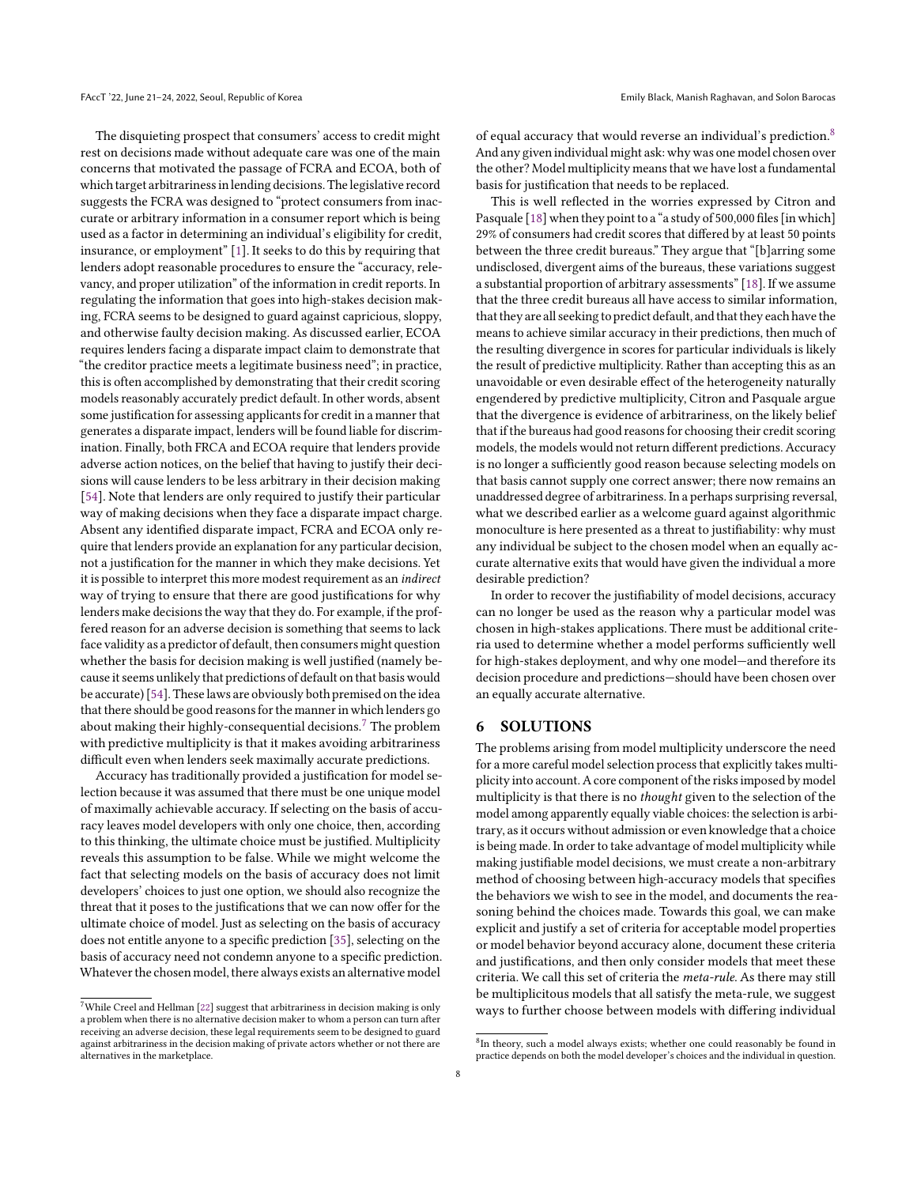The disquieting prospect that consumers' access to credit might rest on decisions made without adequate care was one of the main concerns that motivated the passage of FCRA and ECOA, both of which target arbitrariness in lending decisions. The legislative record suggests the FCRA was designed to "protect consumers from inaccurate or arbitrary information in a consumer report which is being used as a factor in determining an individual's eligibility for credit, insurance, or employment" [\[1\]](#page-9-16). It seeks to do this by requiring that lenders adopt reasonable procedures to ensure the "accuracy, relevancy, and proper utilization" of the information in credit reports. In regulating the information that goes into high-stakes decision making, FCRA seems to be designed to guard against capricious, sloppy, and otherwise faulty decision making. As discussed earlier, ECOA requires lenders facing a disparate impact claim to demonstrate that "the creditor practice meets a legitimate business need"; in practice, this is often accomplished by demonstrating that their credit scoring models reasonably accurately predict default. In other words, absent some justification for assessing applicants for credit in a manner that generates a disparate impact, lenders will be found liable for discrimination. Finally, both FRCA and ECOA require that lenders provide adverse action notices, on the belief that having to justify their decisions will cause lenders to be less arbitrary in their decision making [\[54\]](#page-10-36). Note that lenders are only required to justify their particular way of making decisions when they face a disparate impact charge. Absent any identified disparate impact, FCRA and ECOA only require that lenders provide an explanation for any particular decision, not a justification for the manner in which they make decisions. Yet it is possible to interpret this more modest requirement as an indirect way of trying to ensure that there are good justifications for why lenders make decisions the way that they do. For example, if the proffered reason for an adverse decision is something that seems to lack face validity as a predictor of default, then consumers might question whether the basis for decision making is well justified (namely because it seems unlikely that predictions of default on that basis would be accurate) [\[54\]](#page-10-36). These laws are obviously both premised on the idea that there should be good reasons for the manner in which lenders go about making their highly-consequential decisions.<sup>[7](#page-7-1)</sup> The problem with predictive multiplicity is that it makes avoiding arbitrariness difficult even when lenders seek maximally accurate predictions.

Accuracy has traditionally provided a justification for model selection because it was assumed that there must be one unique model of maximally achievable accuracy. If selecting on the basis of accuracy leaves model developers with only one choice, then, according to this thinking, the ultimate choice must be justified. Multiplicity reveals this assumption to be false. While we might welcome the fact that selecting models on the basis of accuracy does not limit developers' choices to just one option, we should also recognize the threat that it poses to the justifications that we can now offer for the ultimate choice of model. Just as selecting on the basis of accuracy does not entitle anyone to a specific prediction [\[35\]](#page-10-20), selecting on the basis of accuracy need not condemn anyone to a specific prediction. Whatever the chosen model, there always exists an alternative model

of equal accuracy that would reverse an individual's prediction.[8](#page-7-2) And any given individual might ask: why was one model chosen over the other? Model multiplicity means that we have lost a fundamental basis for justification that needs to be replaced.

This is well reflected in the worries expressed by Citron and Pasquale [\[18\]](#page-9-10) when they point to a "a study of 500,000 files [in which] 29% of consumers had credit scores that differed by at least 50 points between the three credit bureaus." They argue that "[b]arring some undisclosed, divergent aims of the bureaus, these variations suggest a substantial proportion of arbitrary assessments" [\[18\]](#page-9-10). If we assume that the three credit bureaus all have access to similar information, that they are all seeking to predict default, and that they each have the means to achieve similar accuracy in their predictions, then much of the resulting divergence in scores for particular individuals is likely the result of predictive multiplicity. Rather than accepting this as an unavoidable or even desirable effect of the heterogeneity naturally engendered by predictive multiplicity, Citron and Pasquale argue that the divergence is evidence of arbitrariness, on the likely belief that if the bureaus had good reasons for choosing their credit scoring models, the models would not return different predictions. Accuracy is no longer a sufficiently good reason because selecting models on that basis cannot supply one correct answer; there now remains an unaddressed degree of arbitrariness. In a perhaps surprising reversal, what we described earlier as a welcome guard against algorithmic monoculture is here presented as a threat to justifiability: why must any individual be subject to the chosen model when an equally accurate alternative exits that would have given the individual a more desirable prediction?

In order to recover the justifiability of model decisions, accuracy can no longer be used as the reason why a particular model was chosen in high-stakes applications. There must be additional criteria used to determine whether a model performs sufficiently well for high-stakes deployment, and why one model—and therefore its decision procedure and predictions—should have been chosen over an equally accurate alternative.

#### <span id="page-7-0"></span>6 SOLUTIONS

The problems arising from model multiplicity underscore the need for a more careful model selection process that explicitly takes multiplicity into account. A core component of the risks imposed by model multiplicity is that there is no thought given to the selection of the model among apparently equally viable choices: the selection is arbitrary, as it occurs without admission or even knowledge that a choice is being made. In order to take advantage of model multiplicity while making justifiable model decisions, we must create a non-arbitrary method of choosing between high-accuracy models that specifies the behaviors we wish to see in the model, and documents the reasoning behind the choices made. Towards this goal, we can make explicit and justify a set of criteria for acceptable model properties or model behavior beyond accuracy alone, document these criteria and justifications, and then only consider models that meet these criteria. We call this set of criteria the meta-rule. As there may still be multiplicitous models that all satisfy the meta-rule, we suggest ways to further choose between models with differing individual

<span id="page-7-1"></span> $^7\rm{While}$  Creel and Hellman [\[22\]](#page-10-21) suggest that arbitrariness in decision making is only a problem when there is no alternative decision maker to whom a person can turn after receiving an adverse decision, these legal requirements seem to be designed to guard against arbitrariness in the decision making of private actors whether or not there are alternatives in the marketplace.

<span id="page-7-2"></span> ${}^{8}$ In theory, such a model always exists; whether one could reasonably be found in practice depends on both the model developer's choices and the individual in question.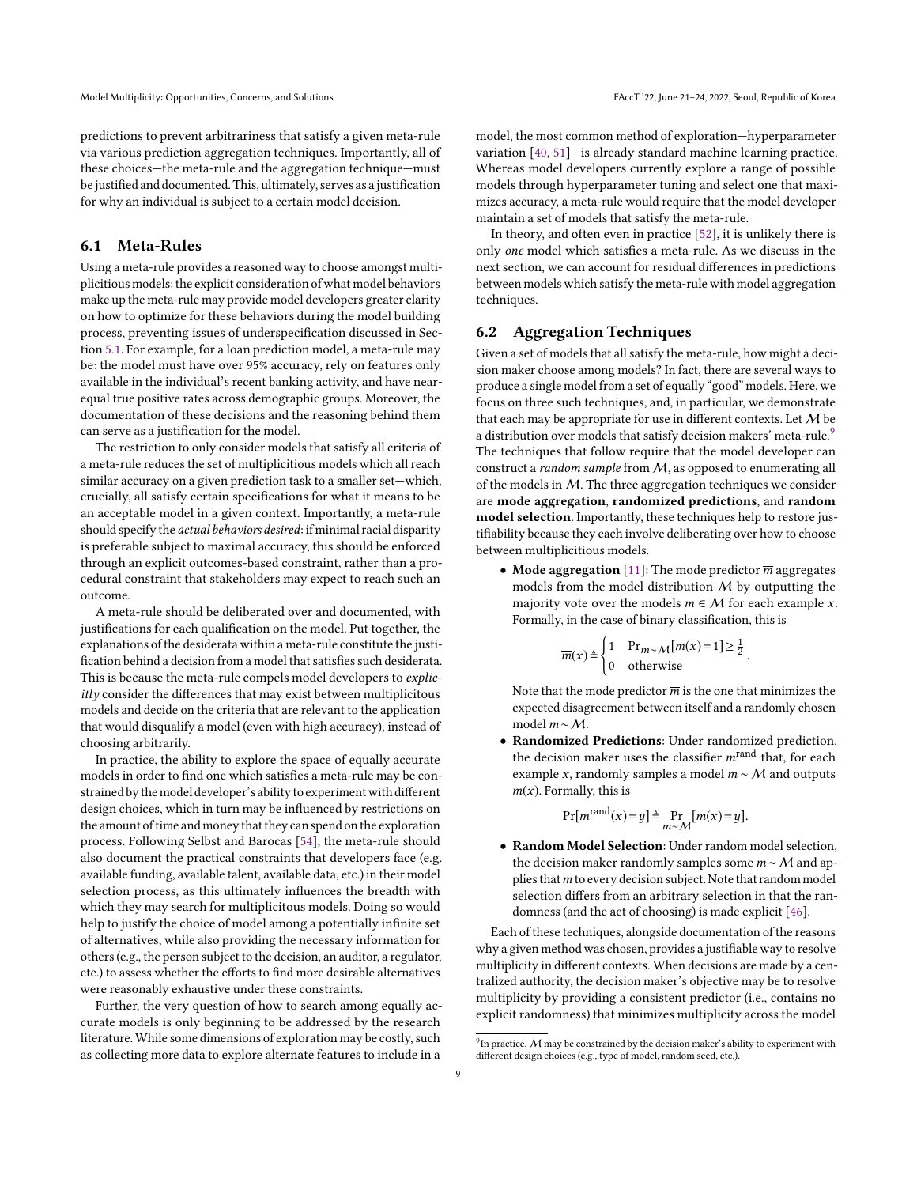predictions to prevent arbitrariness that satisfy a given meta-rule via various prediction aggregation techniques. Importantly, all of these choices—the meta-rule and the aggregation technique—must be justified and documented. This, ultimately, serves as a justification for why an individual is subject to a certain model decision.

# 6.1 Meta-Rules

Using a meta-rule provides a reasoned way to choose amongst multiplicitious models: the explicit consideration of what model behaviors make up the meta-rule may provide model developers greater clarity on how to optimize for these behaviors during the model building process, preventing issues of underspecification discussed in Section [5.1.](#page-5-2) For example, for a loan prediction model, a meta-rule may be: the model must have over 95% accuracy, rely on features only available in the individual's recent banking activity, and have nearequal true positive rates across demographic groups. Moreover, the documentation of these decisions and the reasoning behind them can serve as a justification for the model.

The restriction to only consider models that satisfy all criteria of a meta-rule reduces the set of multiplicitious models which all reach similar accuracy on a given prediction task to a smaller set—which, crucially, all satisfy certain specifications for what it means to be an acceptable model in a given context. Importantly, a meta-rule should specify the actual behaviors desired: if minimal racial disparity is preferable subject to maximal accuracy, this should be enforced through an explicit outcomes-based constraint, rather than a procedural constraint that stakeholders may expect to reach such an outcome.

A meta-rule should be deliberated over and documented, with justifications for each qualification on the model. Put together, the explanations of the desiderata within a meta-rule constitute the justification behind a decision from a model that satisfies such desiderata. This is because the meta-rule compels model developers to explicitly consider the differences that may exist between multiplicitous models and decide on the criteria that are relevant to the application that would disqualify a model (even with high accuracy), instead of choosing arbitrarily.

In practice, the ability to explore the space of equally accurate models in order to find one which satisfies a meta-rule may be constrained by themodel developer's ability to experiment with different design choices, which in turn may be influenced by restrictions on the amount of time and money that they can spend on the exploration process. Following Selbst and Barocas [\[54\]](#page-10-36), the meta-rule should also document the practical constraints that developers face (e.g. available funding, available talent, available data, etc.) in their model selection process, as this ultimately influences the breadth with which they may search for multiplicitous models. Doing so would help to justify the choice of model among a potentially infinite set of alternatives, while also providing the necessary information for others (e.g., the person subject to the decision, an auditor, a regulator, etc.) to assess whether the efforts to find more desirable alternatives were reasonably exhaustive under these constraints.

Further, the very question of how to search among equally accurate models is only beginning to be addressed by the research literature.While some dimensions of exploration may be costly, such as collecting more data to explore alternate features to include in a

model, the most common method of exploration—hyperparameter variation [\[40,](#page-10-10) [51\]](#page-10-15)—is already standard machine learning practice. Whereas model developers currently explore a range of possible models through hyperparameter tuning and select one that maximizes accuracy, a meta-rule would require that the model developer maintain a set of models that satisfy the meta-rule.

In theory, and often even in practice [\[52\]](#page-10-0), it is unlikely there is only one model which satisfies a meta-rule. As we discuss in the next section, we can account for residual differences in predictions between models which satisfy the meta-rule with model aggregation techniques.

### 6.2 Aggregation Techniques

Given a set of models that all satisfy the meta-rule, how might a decision maker choose among models? In fact, there are several ways to produce a single model from a set of equally "good" models. Here, we focus on three such techniques, and, in particular, we demonstrate that each may be appropriate for use in different contexts. Let  $M$  be a distribution over models that satisfy decision makers' meta-rule.<sup>[9](#page-8-0)</sup> The techniques that follow require that the model developer can construct a random sample from M, as opposed to enumerating all of the models in  $M$ . The three aggregation techniques we consider are mode aggregation, randomized predictions, and random model selection. Importantly, these techniques help to restore justifiability because they each involve deliberating over how to choose between multiplicitious models.

• Mode aggregation [\[11\]](#page-9-5): The mode predictor  $\overline{m}$  aggregates models from the model distribution  $M$  by outputting the majority vote over the models  $m \in \mathcal{M}$  for each example x. Formally, in the case of binary classification, this is

$$
\overline{m}(x) \triangleq \begin{cases} 1 & \text{Pr}_{m \sim M}[m(x) = 1] \ge \frac{1}{2} \\ 0 & \text{otherwise} \end{cases}
$$

Note that the mode predictor  $\overline{m}$  is the one that minimizes the expected disagreement between itself and a randomly chosen modelm∼M.

• Randomized Predictions: Under randomized prediction, the decision maker uses the classifier  $m^{\text{rand}}$  that, for each example x, randomly samples a model  $m \sim M$  and outputs  $m(x)$ . Formally, this is

$$
\Pr[m^{\text{rand}}(x) = y] \triangleq \Pr_{m \sim M}[m(x) = y].
$$

• Random Model Selection: Under random model selection, the decision maker randomly samples some  $m \sim M$  and applies that  $m$  to every decision subject. Note that random model selection differs from an arbitrary selection in that the randomness (and the act of choosing) is made explicit [\[46\]](#page-10-13).

Each of these techniques, alongside documentation of the reasons why a given method was chosen, provides a justifiable way to resolve multiplicity in different contexts. When decisions are made by a centralized authority, the decision maker's objective may be to resolve multiplicity by providing a consistent predictor (i.e., contains no explicit randomness) that minimizes multiplicity across the model

<span id="page-8-0"></span> $^{9}$ In practice,  $M$  may be constrained by the decision maker's ability to experiment with different design choices (e.g., type of model, random seed, etc.).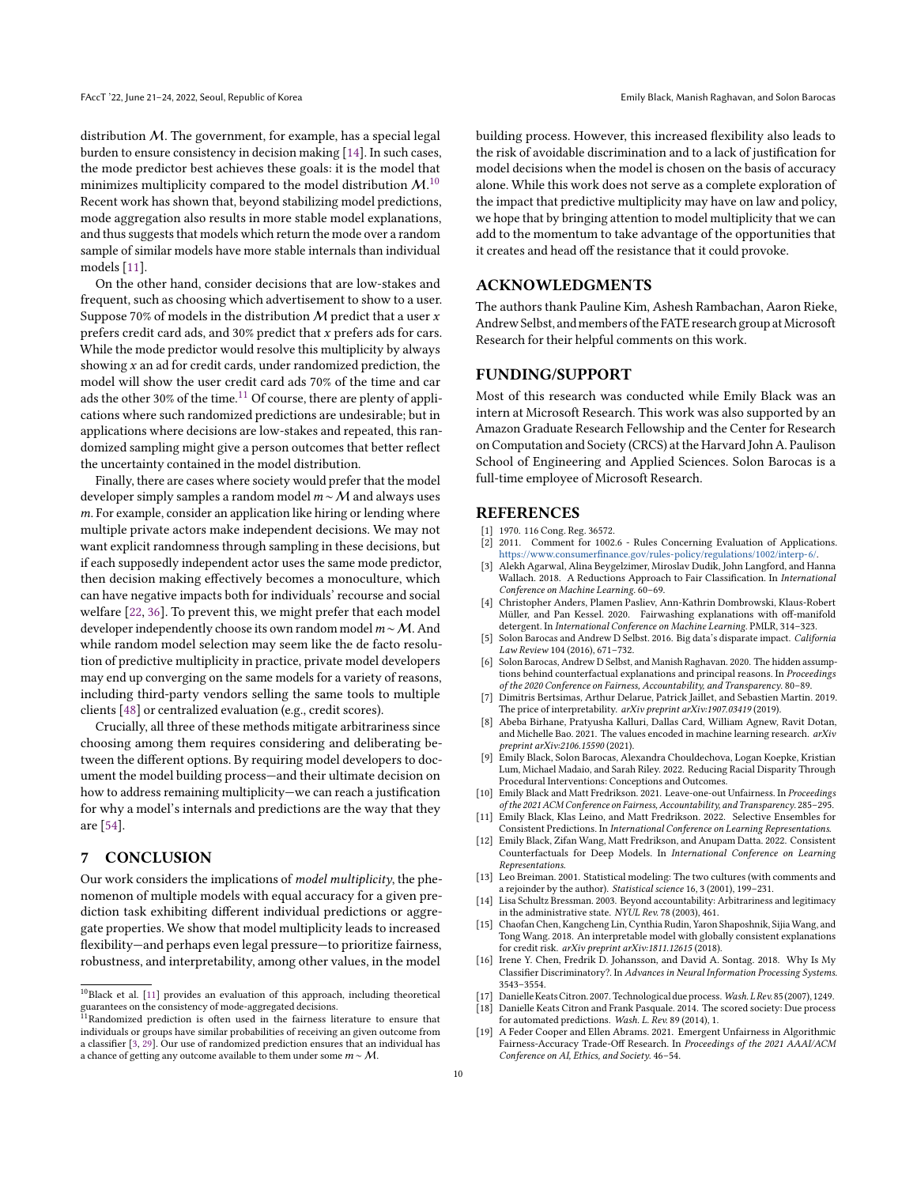distribution M. The government, for example, has a special legal burden to ensure consistency in decision making [\[14\]](#page-9-17). In such cases, the mode predictor best achieves these goals: it is the model that minimizes multiplicity compared to the model distribution  $\mathcal{M}$ .<sup>[10](#page-9-18)</sup> Recent work has shown that, beyond stabilizing model predictions, mode aggregation also results in more stable model explanations, and thus suggests that models which return the mode over a random sample of similar models have more stable internals than individual models [\[11\]](#page-9-5).

On the other hand, consider decisions that are low-stakes and frequent, such as choosing which advertisement to show to a user. Suppose 70% of models in the distribution M predict that a user  $x$ prefers credit card ads, and 30% predict that x prefers ads for cars. While the mode predictor would resolve this multiplicity by always showing  $x$  an ad for credit cards, under randomized prediction, the model will show the user credit card ads 70% of the time and car ads the other 30% of the time. $^{11}$  $^{11}$  $^{11}$  Of course, there are plenty of applications where such randomized predictions are undesirable; but in applications where decisions are low-stakes and repeated, this randomized sampling might give a person outcomes that better reflect the uncertainty contained in the model distribution.

Finally, there are cases where society would prefer that the model developer simply samples a random model  $m \sim M$  and always uses m. For example, consider an application like hiring or lending where multiple private actors make independent decisions. We may not want explicit randomness through sampling in these decisions, but if each supposedly independent actor uses the same mode predictor, then decision making effectively becomes a monoculture, which can have negative impacts both for individuals' recourse and social welfare [\[22,](#page-10-21) [36\]](#page-10-39). To prevent this, we might prefer that each model developer independently choose its own random model  $m \sim M$ . And while random model selection may seem like the de facto resolution of predictive multiplicity in practice, private model developers may end up converging on the same models for a variety of reasons, including third-party vendors selling the same tools to multiple clients [\[48\]](#page-10-33) or centralized evaluation (e.g., credit scores).

Crucially, all three of these methods mitigate arbitrariness since choosing among them requires considering and deliberating between the different options. By requiring model developers to document the model building process—and their ultimate decision on how to address remaining multiplicity—we can reach a justification for why a model's internals and predictions are the way that they are [\[54\]](#page-10-36).

# 7 CONCLUSION

Our work considers the implications of model multiplicity, the phenomenon of multiple models with equal accuracy for a given prediction task exhibiting different individual predictions or aggregate properties. We show that model multiplicity leads to increased flexibility—and perhaps even legal pressure—to prioritize fairness, robustness, and interpretability, among other values, in the model

building process. However, this increased flexibility also leads to the risk of avoidable discrimination and to a lack of justification for model decisions when the model is chosen on the basis of accuracy alone. While this work does not serve as a complete exploration of the impact that predictive multiplicity may have on law and policy, we hope that by bringing attention to model multiplicity that we can add to the momentum to take advantage of the opportunities that it creates and head off the resistance that it could provoke.

### ACKNOWLEDGMENTS

The authors thank Pauline Kim, Ashesh Rambachan, Aaron Rieke, Andrew Selbst, and members of the FATE research group at Microsoft Research for their helpful comments on this work.

# FUNDING/SUPPORT

Most of this research was conducted while Emily Black was an intern at Microsoft Research. This work was also supported by an Amazon Graduate Research Fellowship and the Center for Research on Computation and Society (CRCS) at the Harvard John A. Paulison School of Engineering and Applied Sciences. Solon Barocas is a full-time employee of Microsoft Research.

### REFERENCES

- <span id="page-9-16"></span>1970. 116 Cong. Reg. 36572.
- <span id="page-9-13"></span>[2] 2011. Comment for 1002.6 - Rules Concerning Evaluation of Applications. [https://www.consumerfinance.gov/rules-policy/regulations/1002/interp-6/.](https://www.consumerfinance.gov/rules-policy/regulations/1002/interp-6/) [3] Alekh Agarwal, Alina Beygelzimer, Miroslav Dudik, John Langford, and Hanna
- <span id="page-9-20"></span>Wallach. 2018. A Reductions Approach to Fair Classification. In International Conference on Machine Learning. 60–69.
- <span id="page-9-4"></span>[4] Christopher Anders, Plamen Pasliev, Ann-Kathrin Dombrowski, Klaus-Robert Müller, and Pan Kessel. 2020. Fairwashing explanations with off-manifold detergent. In International Conference on Machine Learning. PMLR, 314–323.
- <span id="page-9-15"></span>[5] Solon Barocas and Andrew D Selbst. 2016. Big data's disparate impact. California Law Review 104 (2016), 671–732.
- <span id="page-9-14"></span>[6] Solon Barocas, Andrew D Selbst, and Manish Raghavan. 2020. The hidden assumptions behind counterfactual explanations and principal reasons. In Proceedings of the 2020 Conference on Fairness, Accountability, and Transparency. 80–89.
- <span id="page-9-1"></span>[7] Dimitris Bertsimas, Arthur Delarue, Patrick Jaillet, and Sebastien Martin. 2019. The price of interpretability. arXiv preprint arXiv:1907.03419 (2019).
- <span id="page-9-11"></span>[8] Abeba Birhane, Pratyusha Kalluri, Dallas Card, William Agnew, Ravit Dotan, and Michelle Bao. 2021. The values encoded in machine learning research.  $arXiv$ preprint arXiv:2106.15590 (2021). [9] Emily Black, Solon Barocas, Alexandra Chouldechova, Logan Koepke, Kristian
- <span id="page-9-12"></span>Lum, Michael Madaio, and Sarah Riley. 2022. Reducing Racial Disparity Through Procedural Interventions: Conceptions and Outcomes.
- <span id="page-9-6"></span>[10] Emily Black and Matt Fredrikson. 2021. Leave-one-out Unfairness. In Proceedings of the 2021 ACM Conference on Fairness, Accountability, and Transparency. 285–295.
- <span id="page-9-5"></span>[11] Emily Black, Klas Leino, and Matt Fredrikson. 2022. Selective Ensembles for Consistent Predictions. In International Conference on Learning Representations.
- <span id="page-9-8"></span>[12] Emily Black, Zifan Wang, Matt Fredrikson, and Anupam Datta. 2022. Consistent Counterfactuals for Deep Models. In International Conference on Learning Representations.
- <span id="page-9-7"></span>[13] Leo Breiman. 2001. Statistical modeling: The two cultures (with comments and a rejoinder by the author). Statistical science 16, 3 (2001), 199–231.
- <span id="page-9-17"></span>[14] Lisa Schultz Bressman. 2003. Beyond accountability: Arbitrariness and legitimacy in the administrative state. NYUL Rev. 78 (2003), 461.
- <span id="page-9-0"></span>[15] Chaofan Chen, Kangcheng Lin, Cynthia Rudin, Yaron Shaposhnik, Sijia Wang, and Tong Wang. 2018. An interpretable model with globally consistent explanations for credit risk. arXiv preprint arXiv:1811.12615 (2018).
- <span id="page-9-2"></span>[16] Irene Y. Chen, Fredrik D. Johansson, and David A. Sontag. 2018. Why Is My Classifier Discriminatory?. In Advances in Neural Information Processing Systems. 3543–3554.
- <span id="page-9-9"></span>[17] Danielle Keats Citron. 2007. Technological due process. Wash. L Rev. 85 (2007), 1249.
- <span id="page-9-10"></span>[18] Danielle Keats Citron and Frank Pasquale. 2014. The scored society: Due process for automated predictions. Wash. L. Rev. 89 (2014), 1.
- <span id="page-9-3"></span>[19] A Feder Cooper and Ellen Abrams. 2021. Emergent Unfairness in Algorithmic Fairness-Accuracy Trade-Off Research. In Proceedings of the 2021 AAAI/ACM Conference on AI, Ethics, and Society. 46–54.

<span id="page-9-18"></span> $^{10}\rm{Black}$  et al. [\[11\]](#page-9-5) provides an evaluation of this approach, including theoretical guarantees on the consistency of mode-aggregated decisions.<br><sup>11</sup>Randomized prediction is often used in the fairness literature to ensure that

<span id="page-9-19"></span>individuals or groups have similar probabilities of receiving an given outcome from a classifier [\[3,](#page-9-20) [29\]](#page-10-42). Our use of randomized prediction ensures that an individual has a chance of getting any outcome available to them under some  $m \sim M$ .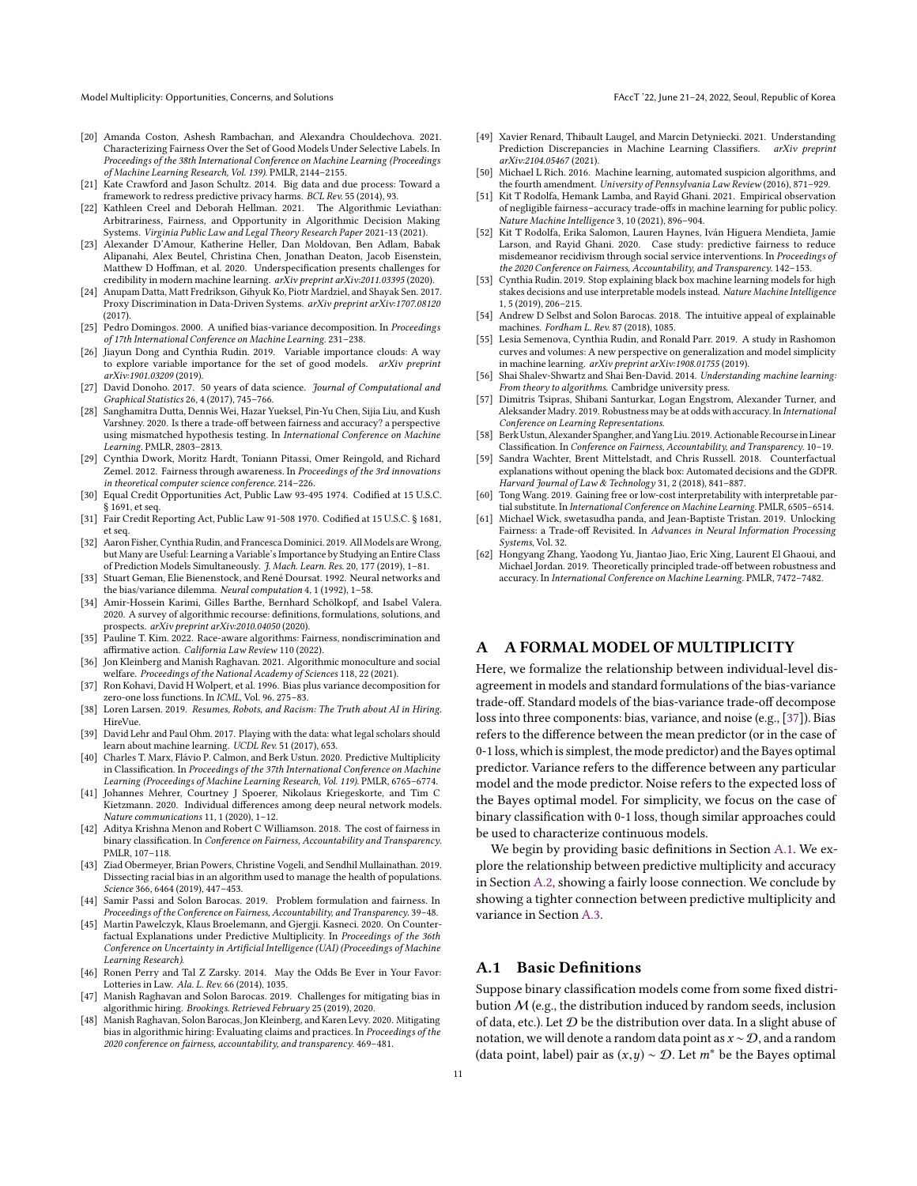Model Multiplicity: Opportunities, Concerns, and Solutions FAccT '22, June 21-24, 2022, Seoul, Republic of Korea

- <span id="page-10-16"></span>[20] Amanda Coston, Ashesh Rambachan, and Alexandra Chouldechova. 2021. Characterizing Fairness Over the Set of Good Models Under Selective Labels. In Proceedings of the 38th International Conference on Machine Learning (Proceedings of Machine Learning Research, Vol. 139). PMLR, 2144–2155.
- <span id="page-10-22"></span>[21] Kate Crawford and Jason Schultz. 2014. Big data and due process: Toward a framework to redress predictive privacy harms. BCL Rev. 55 (2014), 93.
- <span id="page-10-21"></span>[22] Kathleen Creel and Deborah Hellman. 2021. The Algorithmic Leviathan: Arbitrariness, Fairness, and Opportunity in Algorithmic Decision Making Systems. Virginia Public Law and Legal Theory Research Paper 2021-13 (2021).
- <span id="page-10-1"></span>[23] Alexander D'Amour, Katherine Heller, Dan Moldovan, Ben Adlam, Babak Alipanahi, Alex Beutel, Christina Chen, Jonathan Deaton, Jacob Eisenstein, Matthew D Hoffman, et al. 2020. Underspecification presents challenges for credibility in modern machine learning. arXiv preprint arXiv:2011.03395 (2020).
- <span id="page-10-41"></span>[24] Anupam Datta, Matt Fredrikson, Gihyuk Ko, Piotr Mardziel, and Shayak Sen. 2017. Proxy Discrimination in Data-Driven Systems. arXiv preprint arXiv:1707.08120 (2017).
- <span id="page-10-27"></span>[25] Pedro Domingos. 2000. A unified bias-variance decomposition. In Proceedings of 17th International Conference on Machine Learning. 231–238.
- <span id="page-10-11"></span>[26] Jiayun Dong and Cynthia Rudin. 2019. Variable importance clouds: A way to explore variable importance for the set of good models. arXiv preprint arXiv:1901.03209 (2019).
- <span id="page-10-23"></span>[27] David Donoho. 2017. 50 years of data science. Journal of Computational and Graphical Statistics 26, 4 (2017), 745–766.
- <span id="page-10-2"></span>[28] Sanghamitra Dutta, Dennis Wei, Hazar Yueksel, Pin-Yu Chen, Sijia Liu, and Kush Varshney. 2020. Is there a trade-off between fairness and accuracy? a perspective using mismatched hypothesis testing. In International Conference on Machine Learning. PMLR, 2803–2813.
- <span id="page-10-42"></span>[29] Cynthia Dwork, Moritz Hardt, Toniann Pitassi, Omer Reingold, and Richard Zemel. 2012. Fairness through awareness. In Proceedings of the 3rd innovations in theoretical computer science conference. 214–226.
- <span id="page-10-30"></span>[30] Equal Credit Opportunities Act, Public Law 93-495 1974. Codified at 15 U.S.C. § 1691, et seq.
- <span id="page-10-35"></span>[31] Fair Credit Reporting Act, Public Law 91-508 1970. Codified at 15 U.S.C. § 1681, et seq.
- <span id="page-10-14"></span>[32] Aaron Fisher, Cynthia Rudin, and Francesca Dominici. 2019. All Models are Wrong, but Many are Useful: Learning a Variable's Importance by Studying an Entire Class of Prediction Models Simultaneously. J. Mach. Learn. Res. 20, 177 (2019), 1–81.
- <span id="page-10-28"></span>[33] Stuart Geman, Elie Bienenstock, and René Doursat. 1992. Neural networks and the bias/variance dilemma. Neural computation 4, 1 (1992), 1–58.
- <span id="page-10-38"></span>[34] Amir-Hossein Karimi, Gilles Barthe, Bernhard Schölkopf, and Isabel Valera. 2020. A survey of algorithmic recourse: definitions, formulations, solutions, and prospects. *arXiv preprint arXiv:2010.04050* (2020).<br>[35] Pauline T. Kim. 2022. Race-aware algorithms: Fairness. nondiscrimination and
- <span id="page-10-20"></span>affirmative action. California Law Review 110 (2022).
- <span id="page-10-39"></span>[36] Jon Kleinberg and Manish Raghavan. 2021. Algorithmic monoculture and social welfare. Proceedings of the National Academy of Sciences 118, 22 (2021).
- <span id="page-10-43"></span>[37] Ron Kohavi, David H Wolpert, et al. 1996. Bias plus variance decomposition for zero-one loss functions. In ICML, Vol. 96. 275–83.
- <span id="page-10-31"></span>[38] Loren Larsen. 2019. Resumes, Robots, and Racism: The Truth about AI in Hiring. HireVue.
- <span id="page-10-24"></span>[39] David Lehr and Paul Ohm. 2017. Playing with the data: what legal scholars should learn about machine learning. UCDL Rev. 51 (2017), 653.
- <span id="page-10-10"></span>[40] Charles T. Marx, Flávio P. Calmon, and Berk Ustun. 2020. Predictive Multiplicity in Classification. In Proceedings of the 37th International Conference on Machine Learning (Proceedings of Machine Learning Research, Vol. 119). PMLR, 6765–6774.
- <span id="page-10-12"></span>[41] Johannes Mehrer, Courtney J Spoerer, Nikolaus Kriegeskorte, and Tim C Kietzmann. 2020. Individual differences among deep neural network models. Nature communications 11, 1 (2020), 1–12.
- <span id="page-10-3"></span>[42] Aditya Krishna Menon and Robert C Williamson. 2018. The cost of fairness in binary classification. In Conference on Fairness, Accountability and Transparency. PMLR, 107–118.
- <span id="page-10-40"></span>[43] Ziad Obermeyer, Brian Powers, Christine Vogeli, and Sendhil Mullainathan. 2019. Dissecting racial bias in an algorithm used to manage the health of populations. Science 366, 6464 (2019), 447–453.
- <span id="page-10-9"></span>[44] Samir Passi and Solon Barocas. 2019. Problem formulation and fairness. In Proceedings of the Conference on Fairness, Accountability, and Transparency. 39–48.
- <span id="page-10-17"></span>[45] Martin Pawelczyk, Klaus Broelemann, and Gjergji. Kasneci. 2020. On Counterfactual Explanations under Predictive Multiplicity. In Proceedings of the 36th Conference on Uncertainty in Artificial Intelligence (UAI) (Proceedings of Machine Learning Research).
- <span id="page-10-13"></span>[46] Ronen Perry and Tal Z Zarsky. 2014. May the Odds Be Ever in Your Favor: Lotteries in Law. Ala. L. Rev. 66 (2014), 1035.
- <span id="page-10-32"></span>[47] Manish Raghavan and Solon Barocas. 2019. Challenges for mitigating bias in algorithmic hiring. Brookings. Retrieved February 25 (2019), 2020.
- <span id="page-10-33"></span>[48] Manish Raghavan, Solon Barocas, Jon Kleinberg, and Karen Levy. 2020. Mitigating bias in algorithmic hiring: Evaluating claims and practices. In Proceedings of the 2020 conference on fairness, accountability, and transparency. 469–481.
- <span id="page-10-18"></span>[49] Xavier Renard, Thibault Laugel, and Marcin Detyniecki. 2021. Understanding Prediction Discrepancies in Machine Learning Classifiers. arXiv preprint arXiv:2104.05467 (2021).
- <span id="page-10-25"></span>[50] Michael L Rich. 2016. Machine learning, automated suspicion algorithms, and the fourth amendment. University of Pennsylvania Law Review (2016), 871-929.
- <span id="page-10-15"></span>[51] Kit T Rodolfa, Hemank Lamba, and Rayid Ghani. 2021. Empirical observation of negligible fairness–accuracy trade-offs in machine learning for public policy. Nature Machine Intelligence 3, 10 (2021), 896–904.
- <span id="page-10-0"></span>[52] Kit T Rodolfa, Erika Salomon, Lauren Haynes, Iván Higuera Mendieta, Jamie Larson, and Rayid Ghani. 2020. Case study: predictive fairness to reduce misdemeanor recidivism through social service interventions. In Proceedings of the 2020 Conference on Fairness, Accountability, and Transparency. 142–153.
- <span id="page-10-29"></span>[53] Cynthia Rudin. 2019. Stop explaining black box machine learning models for high stakes decisions and use interpretable models instead. Nature Machine Intelligence 1, 5 (2019), 206–215.
- <span id="page-10-36"></span>[54] Andrew D Selbst and Solon Barocas. 2018. The intuitive appeal of explainable machines. Fordham L. Rev. 87 (2018), 1085.
- <span id="page-10-19"></span>[55] Lesia Semenova, Cynthia Rudin, and Ronald Parr. 2019. A study in Rashomon curves and volumes: A new perspective on generalization and model simplicity in machine learning. arXiv preprint arXiv:1908.01755 (2019).
- <span id="page-10-26"></span>[56] Shai Shalev-Shwartz and Shai Ben-David. 2014. Understanding machine learning: From theory to algorithms. Cambridge university press.
- <span id="page-10-4"></span>[57] Dimitris Tsipras, Shibani Santurkar, Logan Engstrom, Alexander Turner, and Aleksander Madry. 2019. Robustness may be at odds with accuracy. In International Conference on Learning Representations.
- <span id="page-10-37"></span>[58] BerkUstun,Alexander Spangher, and Yang Liu. 2019. Actionable Recoursein Linear Classification. In Conference on Fairness, Accountability, and Transparency. 10–19.
- <span id="page-10-34"></span>[59] Sandra Wachter, Brent Mittelstadt, and Chris Russell. 2018. Counterfactual explanations without opening the black box: Automated decisions and the GDPR. Harvard Journal of Law & Technology 31, 2 (2018), 841–887.
- <span id="page-10-5"></span>[60] Tong Wang. 2019. Gaining free or low-cost interpretability with interpretable partial substitute. In International Conference on Machine Learning. PMLR, 6505–6514.
- <span id="page-10-7"></span>[61] Michael Wick, swetasudha panda, and Jean-Baptiste Tristan. 2019. Unlocking Fairness: a Trade-off Revisited. In Advances in Neural Information Processing Systems, Vol. 32.
- <span id="page-10-6"></span>[62] Hongyang Zhang, Yaodong Yu, Jiantao Jiao, Eric Xing, Laurent El Ghaoui, and Michael Jordan. 2019. Theoretically principled trade-off between robustness and accuracy. In International Conference on Machine Learning. PMLR, 7472–7482.

# <span id="page-10-8"></span>A FORMAL MODEL OF MULTIPLICITY

Here, we formalize the relationship between individual-level disagreement in models and standard formulations of the bias-variance trade-off. Standard models of the bias-variance trade-off decompose loss into three components: bias, variance, and noise (e.g., [\[37\]](#page-10-43)). Bias refers to the difference between the mean predictor (or in the case of 0-1 loss, which is simplest, the mode predictor) and the Bayes optimal predictor. Variance refers to the difference between any particular model and the mode predictor. Noise refers to the expected loss of the Bayes optimal model. For simplicity, we focus on the case of binary classification with 0-1 loss, though similar approaches could be used to characterize continuous models.

We begin by providing basic definitions in Section [A.1.](#page-10-44) We explore the relationship between predictive multiplicity and accuracy in Section [A.2,](#page-11-1) showing a fairly loose connection. We conclude by showing a tighter connection between predictive multiplicity and variance in Section [A.3.](#page-12-2)

### <span id="page-10-44"></span>A.1 Basic Definitions

Suppose binary classification models come from some fixed distribution  $M$  (e.g., the distribution induced by random seeds, inclusion of data, etc.). Let  $D$  be the distribution over data. In a slight abuse of notation, we will denote a random data point as  $x \sim D$ , and a random (data point, label) pair as  $(x,y) \sim \mathcal{D}$ . Let  $m^*$  be the Bayes optimal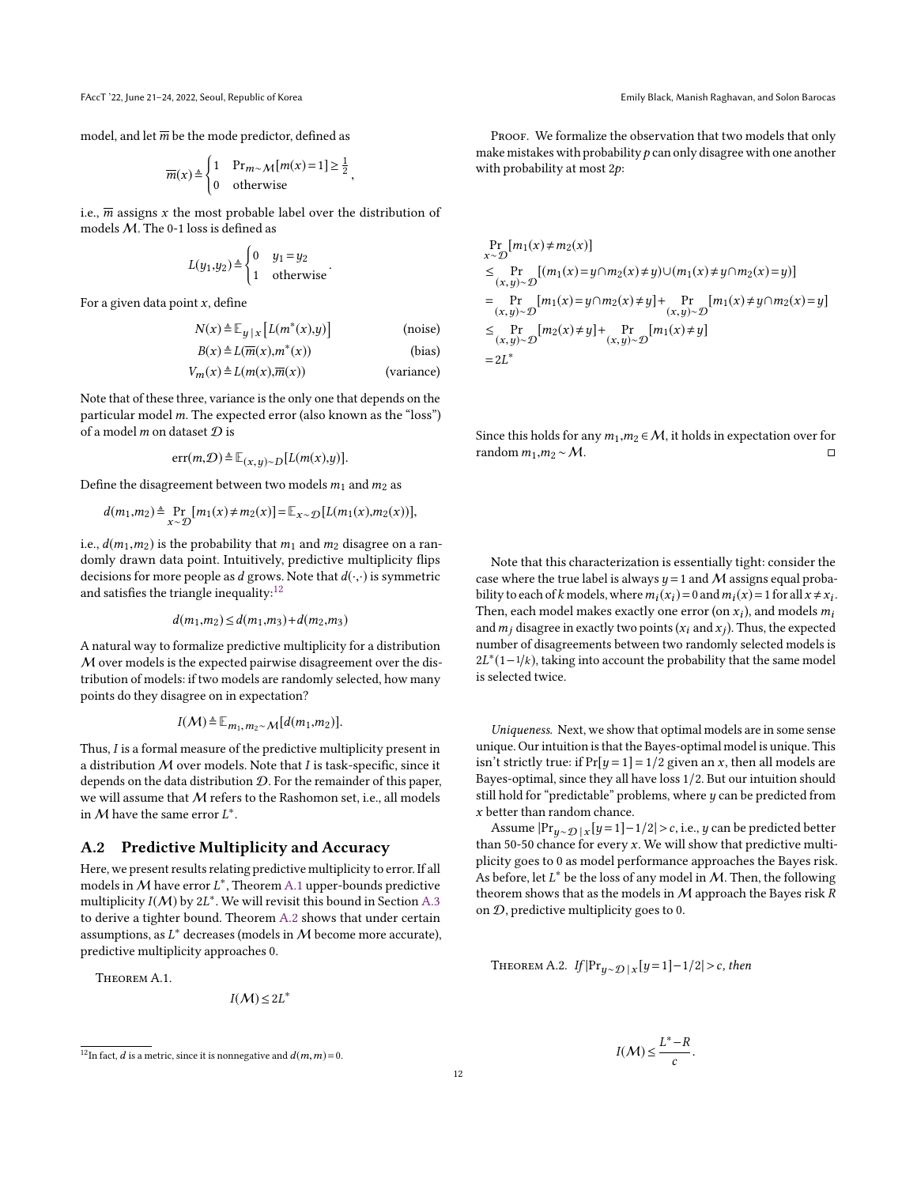model, and let  $\overline{m}$  be the mode predictor, defined as

$$
\overline{m}(x) \triangleq \begin{cases} 1 & \text{Pr}_{m \sim M}[m(x)=1] \ge \frac{1}{2} \\ 0 & \text{otherwise} \end{cases}
$$

i.e.,  $\overline{m}$  assigns x the most probable label over the distribution of models  $M$ . The 0-1 loss is defined as

$$
L(y_1, y_2) \triangleq \begin{cases} 0 & y_1 = y_2 \\ 1 & \text{otherwise} \end{cases}.
$$

For a given data point  $x$ , define

$$
N(x) \triangleq \mathbb{E}_{y \mid x} [L(m^*(x), y)] \quad \text{(noise)}
$$

$$
B(x) \triangleq L(\overline{m}(x), m^*(x))
$$
 (bias)

$$
V_m(x) \triangleq L(m(x), \overline{m}(x))
$$
 (variance)

Note that of these three, variance is the only one that depends on the particular model  $m$ . The expected error (also known as the "loss") of a model  $m$  on dataset  $\mathcal D$  is

$$
\text{err}(m,\mathcal{D}) \triangleq \mathbb{E}_{(x,\,y)\sim D}[L(m(x),y)].
$$

Define the disagreement between two models  $m_1$  and  $m_2$  as

$$
d(m_1, m_2) \triangleq \Pr_{x \sim \mathcal{D}}[m_1(x) \neq m_2(x)] = \mathbb{E}_{x \sim \mathcal{D}}[L(m_1(x), m_2(x))],
$$

i.e.,  $d(m_1, m_2)$  is the probability that  $m_1$  and  $m_2$  disagree on a randomly drawn data point. Intuitively, predictive multiplicity flips decisions for more people as d grows. Note that  $d(\cdot, \cdot)$  is symmetric and satisfies the triangle inequality: $12$ 

$$
d(m_1, m_2) \le d(m_1, m_3) + d(m_2, m_3)
$$

A natural way to formalize predictive multiplicity for a distribution M over models is the expected pairwise disagreement over the distribution of models: if two models are randomly selected, how many points do they disagree on in expectation?

$$
I(\mathcal{M}) \triangleq \mathbb{E}_{m_1, m_2 \sim \mathcal{M}}[d(m_1, m_2)].
$$

Thus, I is a formal measure of the predictive multiplicity present in a distribution  $M$  over models. Note that  $I$  is task-specific, since it depends on the data distribution  $D$ . For the remainder of this paper, we will assume that M refers to the Rashomon set, i.e., all models in M have the same error  $L^*$ .

# <span id="page-11-1"></span>A.2 Predictive Multiplicity and Accuracy

Here, we present results relating predictive multiplicity to error. If all models in M have error  $L^*$ , Theorem [A.1](#page-11-3) upper-bounds predictive<br>multiplicity  $I(M)$  by 21\* We will revisit this bound in Section A.3 multiplicity  $I(M)$  by  $2L^*$ . We will revisit this bound in Section [A.3](#page-12-2)<br>to derive a tighter bound. Theorem A.2 shows that under certain to derive a tighter bound. Theorem [A.2](#page-11-0) shows that under certain assumptions, as  $L^*$  decreases (models in  $M$  become more accurate), predictive multiplicity approaches 0.

<span id="page-11-3"></span>THEOREM A 1

$$
I(\mathcal{M})\leq 2L^*
$$

PROOF. We formalize the observation that two models that only make mistakes with probability  $p$  can only disagree with one another with probability at most <sup>2</sup>p:

$$
\Pr_{x \sim \mathcal{D}}[m_1(x) \neq m_2(x)]
$$
\n
$$
\leq \Pr_{(x,y) \sim \mathcal{D}}[(m_1(x) = y \cap m_2(x) \neq y) \cup (m_1(x) \neq y \cap m_2(x) = y)]
$$
\n
$$
= \Pr_{(x,y) \sim \mathcal{D}}[m_1(x) = y \cap m_2(x) \neq y] + \Pr_{(x,y) \sim \mathcal{D}}[m_1(x) \neq y \cap m_2(x) = y]
$$
\n
$$
\leq \Pr_{(x,y) \sim \mathcal{D}}[m_2(x) \neq y] + \Pr_{(x,y) \sim \mathcal{D}}[m_1(x) \neq y]
$$
\n
$$
= 2L^*
$$

Since this holds for any  $m_1, m_2 \in M$ , it holds in expectation over for random  $m_1, m_2 \sim M$ . random  $m_1, m_2 \sim M$ .

Note that this characterization is essentially tight: consider the case where the true label is always  $y = 1$  and M assigns equal probability to each of k models, where  $m_i(x_i) = 0$  and  $m_i(x) = 1$  for all  $x \neq x_i$ .<br>Then, each model makes exactly one error (on x), and models m. Then, each model makes exactly one error  $(\text{on } x_i)$ , and models  $m_i$ <br>and m. disagree in exactly two points  $(x_i, \text{and } x_i)$ . Thus, the expected and  $m_j$  disagree in exactly two points  $(x_i$  and  $x_j)$ . Thus, the expected<br>number of disagreements between two candomly selected models is number of disagreements between two randomly selected models is  $2L^*(1-1/k)$ , taking into account the probability that the same model<br>is selected twice is selected twice.

Uniqueness. Next, we show that optimal models are in some sense unique. Our intuition is that the Bayes-optimal model is unique. This isn't strictly true: if  $Pr[y = 1] = 1/2$  given an x, then all models are Bayes-optimal, since they all have loss 1/2. But our intuition should still hold for "predictable" problems, where  $y$  can be predicted from x better than random chance.

Assume  $|{\Pr}_{y \sim \mathcal{D}}|_X[y=1]-1/2| > c$ , i.e., y can be predicted better<br>an 50-50 chance for every x. We will show that predictive multi-Assume  $|\text{FT}_{y\sim \mathcal{D}}|_x|y=1]-1/2|>c$ , i.e., y can be predicted better<br>than 50-50 chance for every x. We will show that predictive multi-<br>plicity goes to 0.2s model performance approaches the Bayes risk plicity goes to 0 as model performance approaches the Bayes risk. As before, let  $L^*$  be the loss of any model in M. Then, the following<br>theorem shows that as the models in M approach the Bayes risk  $R$ theorem shows that as the models in  $M$  approach the Bayes risk  $R$ on  $D$ , predictive multiplicity goes to 0.

<span id="page-11-0"></span>THEOREM A.2.  $If |Pr_{y \sim \mathcal{D} | X} [y=1] - 1/2| > c$ , then

$$
I(\mathcal{M}) \leq \frac{L^* - R}{c}
$$

<span id="page-11-2"></span><sup>&</sup>lt;sup>12</sup>In fact, *d* is a metric, since it is nonnegative and  $d(m, m) = 0$ .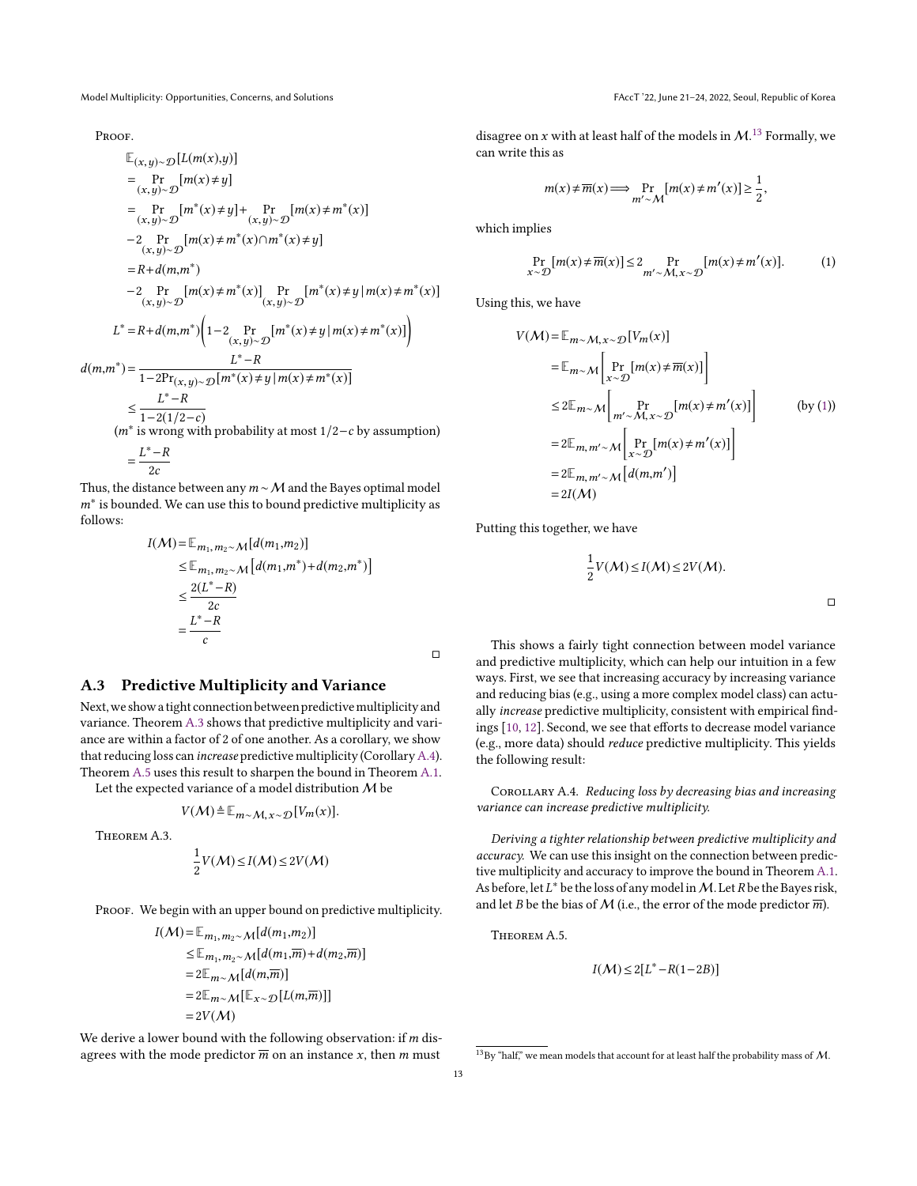Model Multiplicity: Opportunities, Concerns, and Solutions FAccT '22, June 21-24, 2022, Seoul, Republic of Korea

PROOF.

$$
\mathbb{E}_{(x,y)\sim\mathcal{D}}[L(m(x),y)]
$$
\n
$$
= \Pr_{(x,y)\sim\mathcal{D}}[m(x) \neq y]
$$
\n
$$
= \Pr_{(x,y)\sim\mathcal{D}}[m^*(x) \neq y] + \Pr_{(x,y)\sim\mathcal{D}}[m(x) \neq m^*(x)]
$$
\n
$$
-2 \Pr_{(x,y)\sim\mathcal{D}}[m(x) \neq m^*(x) \cap m^*(x) \neq y]
$$
\n
$$
= R + d(m,m^*)
$$
\n
$$
-2 \Pr_{(x,y)\sim\mathcal{D}}[m(x) \neq m^*(x)] \Pr_{(x,y)\sim\mathcal{D}}[m^*(x) \neq y] m(x) \neq m^*(x)]
$$
\n
$$
L^* = R + d(m,m^*) \left(1 - 2 \Pr_{(x,y)\sim\mathcal{D}}[m^*(x) \neq y] m(x) \neq m^*(x)]\right)
$$
\n
$$
d(m,m^*) = \frac{L^* - R}{1 - 2\Pr_{(x,y)\sim\mathcal{D}}[m^*(x) \neq y] m(x) \neq m^*(x)]}
$$
\n
$$
\leq \frac{L^* - R}{1 - 2(1/2 - c)}
$$
\n
$$
(m^* \text{ is wrong with probability at most } 1/2 - c \text{ by assumption})
$$
\n
$$
= \frac{L^* - R}{1 - 2(1/2 - c)}
$$

 $\frac{2c}{\hbar}$ Thus, the distance between any  $m \sim M$  and the Bayes optimal model  $m^*$  is bounded. We can use this to bound predictive multiplicity as follows: follows:

$$
I(M) = \mathbb{E}_{m_1, m_2 \sim M}[d(m_1, m_2)]
$$
  
\n
$$
\leq \mathbb{E}_{m_1, m_2 \sim M}[d(m_1, m^*) + d(m_2, m^*)]
$$
  
\n
$$
\leq \frac{2(L^* - R)}{2c}
$$
  
\n
$$
= \frac{L^* - R}{c}
$$

### <span id="page-12-2"></span>A.3 Predictive Multiplicity and Variance

Next, we show a tight connection between predictive multiplicity and variance. Theorem [A.3](#page-12-0) shows that predictive multiplicity and variance are within a factor of 2 of one another. As a corollary, we show that reducing loss can *increase* predictive multiplicity (Corollary [A.4\)](#page-12-1). Theorem [A.5](#page-12-3) uses this result to sharpen the bound in Theorem [A.1.](#page-11-3)

Let the expected variance of a model distribution  $M$  be

$$
V(\mathcal{M}) \triangleq \mathbb{E}_{m \sim \mathcal{M}, x \sim \mathcal{D}}[V_m(x)].
$$

<span id="page-12-0"></span>Theorem A.3.

$$
\frac{1}{2}V(\mathcal{M}) \leq I(\mathcal{M}) \leq 2V(\mathcal{M})
$$

PROOF. We begin with an upper bound on predictive multiplicity.

$$
I(\mathcal{M}) = \mathbb{E}_{m_1, m_2 \sim \mathcal{M}}[d(m_1, m_2)]
$$
  
\n
$$
\leq \mathbb{E}_{m_1, m_2 \sim \mathcal{M}}[d(m_1, \overline{m}) + d(m_2, \overline{m})]
$$
  
\n
$$
= 2\mathbb{E}_{m \sim \mathcal{M}}[d(m, \overline{m})]
$$
  
\n
$$
= 2\mathbb{E}_{m \sim \mathcal{M}}[\mathbb{E}_{x \sim \mathcal{D}}[L(m, \overline{m})]]
$$
  
\n
$$
= 2V(\mathcal{M})
$$

We derive a lower bound with the following observation: if  $m$  disagrees with the mode predictor  $\overline{m}$  on an instance x, then m must

disagree on x with at least half of the models in  $\mathcal{M}$ <sup>[13](#page-12-4)</sup>. Formally, we can write this as can write this as

$$
m(x) \neq \overline{m}(x) \Longrightarrow \Pr_{m' \sim \mathcal{M}} [m(x) \neq m'(x)] \geq \frac{1}{2},
$$

which implies

<span id="page-12-5"></span>
$$
\Pr_{x \sim \mathcal{D}}[m(x) \neq \overline{m}(x)] \le 2 \Pr_{m' \sim \mathcal{M}, x \sim \mathcal{D}}[m(x) \neq m'(x)].
$$
 (1)

Using this, we have

$$
V(M) = \mathbb{E}_{m \sim M, x \sim \mathcal{D}}[V_m(x)]
$$
  
\n
$$
= \mathbb{E}_{m \sim M} \left[ \Pr_{x \sim \mathcal{D}}[m(x) \neq \overline{m}(x)] \right]
$$
  
\n
$$
\leq 2 \mathbb{E}_{m \sim M} \left[ \Pr_{m' \sim M, x \sim \mathcal{D}}[m(x) \neq m'(x)] \right]
$$
 (by (1))  
\n
$$
= 2 \mathbb{E}_{m, m' \sim M} \left[ \Pr_{x \sim \mathcal{D}}[m(x) \neq m'(x)] \right]
$$
  
\n
$$
= 2 \mathbb{E}_{m, m' \sim M} [d(m, m')]
$$
  
\n
$$
= 2I(M)
$$

Putting this together, we have

$$
\frac{1}{2}V(\mathcal{M}) \leq I(\mathcal{M}) \leq 2V(\mathcal{M}).
$$

 $\Box$ 

This shows a fairly tight connection between model variance and predictive multiplicity, which can help our intuition in a few ways. First, we see that increasing accuracy by increasing variance and reducing bias (e.g., using a more complex model class) can actually increase predictive multiplicity, consistent with empirical findings [\[10,](#page-9-6) [12\]](#page-9-8). Second, we see that efforts to decrease model variance (e.g., more data) should reduce predictive multiplicity. This yields the following result:

<span id="page-12-1"></span>COROLLARY A.4. Reducing loss by decreasing bias and increasing variance can increase predictive multiplicity.

Deriving a tighter relationship between predictive multiplicity and accuracy. We can use this insight on the connection between predictive multiplicity and accuracy to improve the bound in Theorem [A.1.](#page-11-3) As before, let  $L^*$  be the loss of any model in M. Let R be the Bayes risk,<br>and let R be the bias of M (i.e., the error of the mode predictor  $\overline{m}$ ) and let B be the bias of M (i.e., the error of the mode predictor  $\overline{m}$ ).

<span id="page-12-3"></span>Theorem A.5.

$$
I(\mathcal{M}) \le 2[L^* - R(1 - 2B)]
$$

 $\Box$ 

<span id="page-12-4"></span> $13$ By "half," we mean models that account for at least half the probability mass of  $M$ .